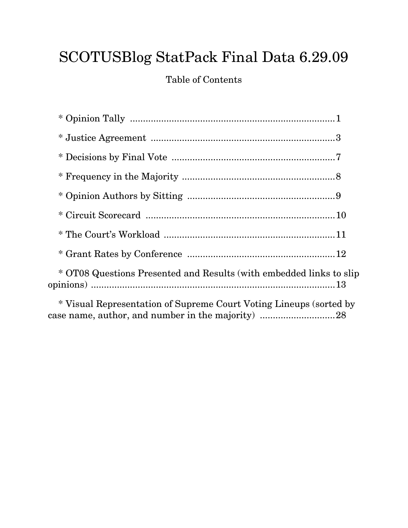# SCOTUSBlog StatPack Final Data 6.29.09

Table of Contents

| * OT08 Questions Presented and Results (with embedded links to slip                                                     |
|-------------------------------------------------------------------------------------------------------------------------|
| * Visual Representation of Supreme Court Voting Lineups (sorted by<br>case name, author, and number in the majority) 28 |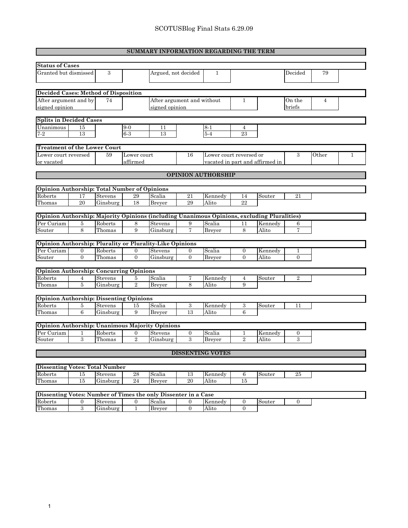|                                                                                             | SUMMARY INFORMATION REGARDING THE TERM |                |                         |                            |                |                           |                |                                 |                |                |   |
|---------------------------------------------------------------------------------------------|----------------------------------------|----------------|-------------------------|----------------------------|----------------|---------------------------|----------------|---------------------------------|----------------|----------------|---|
| <b>Status of Cases</b>                                                                      |                                        |                |                         |                            |                |                           |                |                                 |                |                |   |
|                                                                                             |                                        |                |                         |                            |                |                           |                |                                 |                |                |   |
| Granted but dismissed                                                                       |                                        | 3              |                         | Argued, not decided        |                | 1                         |                |                                 | Decided        | 79             |   |
|                                                                                             |                                        |                |                         |                            |                |                           |                |                                 |                |                |   |
| Decided Cases: Method of Disposition                                                        |                                        |                |                         |                            |                |                           |                |                                 |                |                |   |
| After argument and by                                                                       |                                        | 74             |                         | After argument and without |                |                           | 1              |                                 | On the         | $\overline{4}$ |   |
| signed opinion                                                                              |                                        |                |                         | signed opinion             |                |                           |                |                                 | briefs         |                |   |
| <b>Splits in Decided Cases</b>                                                              |                                        |                |                         |                            |                |                           |                |                                 |                |                |   |
| Unanimous                                                                                   | 15                                     |                | $9-0$                   | 11                         |                | $8 - 1$                   | $\overline{4}$ |                                 |                |                |   |
| $7-2$                                                                                       | 13                                     |                | $6-3$                   | 13                         |                | $5-4$                     | 23             |                                 |                |                |   |
|                                                                                             |                                        |                |                         |                            |                |                           |                |                                 |                |                |   |
| <b>Treatment of the Lower Court</b>                                                         |                                        |                |                         |                            |                |                           |                |                                 |                |                |   |
| Lower court reversed<br>or vacated                                                          |                                        | 59             | Lower court<br>affirmed |                            | 16             | Lower court reversed or   |                | vacated in part and affirmed in | 3              | Other          | 1 |
|                                                                                             |                                        |                |                         |                            |                |                           |                |                                 |                |                |   |
|                                                                                             |                                        |                |                         |                            |                | <b>OPINION AUTHORSHIP</b> |                |                                 |                |                |   |
|                                                                                             |                                        |                |                         |                            |                |                           |                |                                 |                |                |   |
| Opinion Authorship: Total Number of Opinions                                                |                                        |                |                         |                            |                |                           |                |                                 |                |                |   |
| Roberts                                                                                     | 17                                     | <b>Stevens</b> | 29                      | Scalia                     | 21             | Kennedy                   | 14             | Souter                          | 21             |                |   |
| Thomas                                                                                      | 20                                     | Ginsburg       | 18                      | Breyer                     | 29             | Alito                     | 22             |                                 |                |                |   |
| Opinion Authorship: Majority Opinions (including Unanimous Opinions, excluding Pluralities) |                                        |                |                         |                            |                |                           |                |                                 |                |                |   |
| Per Curiam                                                                                  | 5                                      | Roberts        | 8                       | <b>Stevens</b>             | 9              | Scalia                    | 11             | Kennedy                         | 6              |                |   |
| $_{\text{Souter}}$                                                                          | 8                                      | Thomas         | 9                       | Ginsburg                   | $\overline{7}$ | <b>Breyer</b>             | 8              | Alito                           | $\overline{7}$ |                |   |
|                                                                                             |                                        |                |                         |                            |                |                           |                |                                 |                |                |   |
| Opinion Authorship: Plurality or Plurality-Like Opinions                                    |                                        |                |                         |                            |                |                           |                |                                 |                |                |   |
| Per Curiam                                                                                  | $\overline{0}$                         | Roberts        | $\mathbf{0}$            | Stevens                    | $\mathbf{0}$   | Scalia                    | $\mathbf{0}$   | Kennedy                         | 1              |                |   |
| Souter                                                                                      | $\overline{0}$                         | Thomas         | $\overline{0}$          | Ginsburg                   | $\overline{0}$ | <b>Breyer</b>             | $\theta$       | Alito                           | $\Omega$       |                |   |
|                                                                                             |                                        |                |                         |                            |                |                           |                |                                 |                |                |   |
| <b>Opinion Authorship: Concurring Opinions</b>                                              |                                        |                |                         |                            |                |                           |                |                                 |                |                |   |
| Roberts                                                                                     | 4                                      | <b>Stevens</b> | 5                       | Scalia                     | 7              | Kennedy                   | 4              | Souter                          | $\overline{2}$ |                |   |
| Thomas                                                                                      | 5                                      | Ginsburg       | $\overline{2}$          | <b>Breyer</b>              | 8              | Alito                     | 9              |                                 |                |                |   |
| <b>Opinion Authorship: Dissenting Opinions</b>                                              |                                        |                |                         |                            |                |                           |                |                                 |                |                |   |
| Roberts                                                                                     | $\bf 5$                                | Stevens        | 15                      | Scalia                     | 3              | Kennedy                   | 3              | Souter                          | 11             |                |   |
| Thomas                                                                                      | 6                                      | Ginsburg       | 9                       | <b>Breyer</b>              | 13             | Alito                     | 6              |                                 |                |                |   |
|                                                                                             |                                        |                |                         |                            |                |                           |                |                                 |                |                |   |
| Opinion Authorship: Unanimous Majority Opinions                                             |                                        |                |                         |                            |                |                           |                |                                 |                |                |   |
| Per Curiam                                                                                  | 1                                      | Roberts        | $\boldsymbol{0}$        | Stevens                    | $\mathbf{0}$   | Scalia                    | 1              | Kennedy                         | $\mathbf{0}$   |                |   |
| Souter                                                                                      | $\overline{\mathbf{3}}$                | Thomas         | $\overline{2}$          | Ginsburg                   | 3              | <b>Brever</b>             | $\mathfrak{D}$ | Alito                           | 3              |                |   |
|                                                                                             |                                        |                |                         |                            |                | <b>DISSENTING VOTES</b>   |                |                                 |                |                |   |
|                                                                                             |                                        |                |                         |                            |                |                           |                |                                 |                |                |   |
| <b>Dissenting Votes: Total Number</b>                                                       |                                        |                |                         |                            |                |                           |                |                                 |                |                |   |
| Roberts                                                                                     | 15                                     | Stevens        | 28                      | Scalia                     | 13             | Kennedy                   | 6              | Souter                          | $25\,$         |                |   |
| Thomas                                                                                      | 15                                     | Ginsburg       | 24                      | <b>Breyer</b>              | 20             | Alito                     | 15             |                                 |                |                |   |

| Dissenting Votes: Number of Times the only Dissenter in a Case |  |                    |  |        |  |         |  |        |  |  |
|----------------------------------------------------------------|--|--------------------|--|--------|--|---------|--|--------|--|--|
| Roberts                                                        |  | Stevens            |  | Scalia |  | Kennedy |  | Souter |  |  |
| Thomas                                                         |  | $\sim$<br>Ginsburg |  | Brever |  | Alito   |  |        |  |  |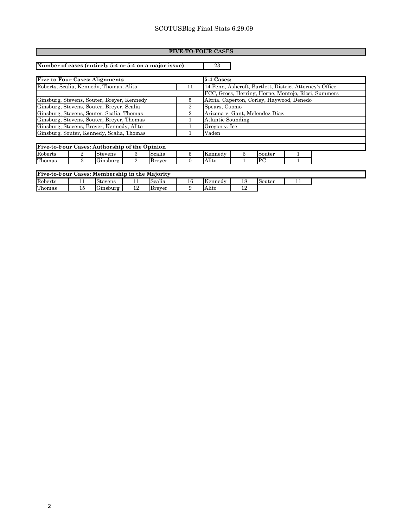#### **FIVE-TO-FOUR CASES**

**Number of cases (entirely 5-4 or 5-4 on a major issue)** 23

| <b>Five to Four Cases: Alignments</b>         |    | $\overline{5}$ -4 Cases:                                |  |  |  |  |
|-----------------------------------------------|----|---------------------------------------------------------|--|--|--|--|
| Roberts, Scalia, Kennedy, Thomas, Alito       |    | 14 Penn, Ashcroft, Bartlett, District Attorney's Office |  |  |  |  |
|                                               |    | FCC, Gross, Herring, Horne, Montejo, Ricci, Summers     |  |  |  |  |
| Ginsburg, Stevens, Souter, Breyer, Kennedy    | 5. | Altria. Caperton, Corley, Haywood, Denedo               |  |  |  |  |
| Ginsburg, Stevens, Souter, Breyer, Scalia     |    | Spears, Cuomo                                           |  |  |  |  |
| Ginsburg, Stevens, Souter, Scalia, Thomas     |    | Arizona v. Gant, Melendez-Diaz                          |  |  |  |  |
| Ginsburg, Stevens, Souter, Brever, Thomas     |    | Atlantic Sounding                                       |  |  |  |  |
| Ginsburg, Stevens, Breyer, Kennedy, Alito     |    | Oregon v. Ice                                           |  |  |  |  |
| Ginsburg, Souter, Kennedy, Scalia, Thomas     |    | Vaden                                                   |  |  |  |  |
|                                               |    |                                                         |  |  |  |  |
| Five-to-Four Cases: Authorship of the Opinion |    |                                                         |  |  |  |  |

| <u>Frive-to-Four Cases: Authorship of the Opinion</u> |  |          |  |        |  |                       |  |        |  |  |
|-------------------------------------------------------|--|----------|--|--------|--|-----------------------|--|--------|--|--|
| Roberts                                               |  | Stevens  |  | Scalia |  | Kennedy               |  | Souter |  |  |
| Thomas                                                |  | Ginsburg |  | Brever |  | $\mathbf{r}$<br>Alıto |  |        |  |  |

| Five-to-Four Cases: Membership in the Majority |   |          |     |        |  |         |  |        |  |  |
|------------------------------------------------|---|----------|-----|--------|--|---------|--|--------|--|--|
| Roberts                                        |   | Stevens  | . . | Scalia |  | Kennedy |  | Souter |  |  |
| Thomas                                         | ᆂ | Ginsburg |     | Brever |  | -Alite  |  |        |  |  |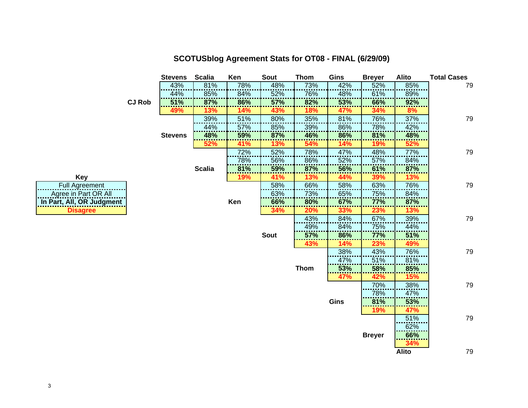|                           |               | <b>Stevens</b> | <b>Scalia</b> | Ken | <b>Sout</b> | <b>Thom</b> | Gins       | <b>Breyer</b> | <b>Alito</b> | <b>Total Cases</b> |
|---------------------------|---------------|----------------|---------------|-----|-------------|-------------|------------|---------------|--------------|--------------------|
|                           |               | 43%            | 81%           | 78% | 48%         | 73%         | 42%        | 52%           | 85%          | 79                 |
|                           |               | 44%            | 85%           | 84% | 52%         | 76%         | 48%        | 61%           | 89%          |                    |
|                           | <b>CJ Rob</b> | 51%            | 87%           | 86% | 57%         | 82%         | 53%        | 66%           | 92%          |                    |
|                           |               | 49%            | 13%           | 14% | 43%         | 18%         | 47%        | 34%           | 8%           |                    |
|                           |               |                | 39%           | 51% | 80%         | 35%         | 81%        | 76%           | 37%          | 79                 |
|                           |               |                | 44%           | 57% | 85%         | 39%         | 86%        | 78%           | 42%          |                    |
|                           |               | <b>Stevens</b> | 48%           | 59% | 87%         | 46%         | 86%        | 81%           | 48%          |                    |
|                           |               |                | 52%           | 41% | 13%         | 54%         | 14%        | 19%           | 52%          |                    |
|                           |               |                |               | 72% | 52%         | 78%         | 47%        | 48%           | 77%          | 79                 |
|                           |               |                |               | 78% | 56%         | 86%         | 52%        | 57%           | 84%          |                    |
|                           |               |                | <b>Scalia</b> | 81% | 59%         | 87%         | 56%        | 61%           | 87%          |                    |
| <b>Key</b>                |               |                |               | 19% | 41%         | 13%         | 44%        | 39%           | 13%          |                    |
| <b>Full Agreement</b>     |               |                |               |     | 58%         | 66%         | 58%        | 63%           | 76%          | 79                 |
| Agree in Part OR All      |               |                |               |     | 63%         | 73%         | 65%        | 75%           | 84%          |                    |
| In Part, All, OR Judgment |               |                |               | Ken | 66%         | 80%         | 67%        | 77%           | 87%          |                    |
| <b>Disagree</b>           |               |                |               |     | 34%         | 20%         | 33%        | 23%           | 13%          |                    |
|                           |               |                |               |     |             | 43%         | 84%        | 67%           | 39%          | 79                 |
|                           |               |                |               |     |             | 49%         | 84%        | 75%           | 44%          |                    |
|                           |               |                |               |     | <b>Sout</b> | 57%         | 86%        | <b>77%</b>    | 51%          |                    |
|                           |               |                |               |     |             | 43%         | 14%        | 23%           | 49%          |                    |
|                           |               |                |               |     |             |             | 38%        | 43%           | 76%          | 79                 |
|                           |               |                |               |     |             |             | 47%        | 51%           | 81%          |                    |
|                           |               |                |               |     |             | <b>Thom</b> | 53%        | 58%           | 85%          |                    |
|                           |               |                |               |     |             |             | <b>47%</b> | 42%           | 15%          |                    |
|                           |               |                |               |     |             |             |            | 70%           | 38%          | 79                 |
|                           |               |                |               |     |             |             |            | 78%           | 47%          |                    |
|                           |               |                |               |     |             |             | Gins       | 81%           | 53%          |                    |
|                           |               |                |               |     |             |             |            | 19%           | 47%          |                    |
|                           |               |                |               |     |             |             |            |               | 51%          | 79                 |
|                           |               |                |               |     |             |             |            |               | 62%          |                    |
|                           |               |                |               |     |             |             |            | <b>Breyer</b> | 66%          |                    |
|                           |               |                |               |     |             |             |            |               | 34%          |                    |
|                           |               |                |               |     |             |             |            |               | <b>Alito</b> | 79                 |

#### **SCOTUSblog Agreement Stats for OT08 - FINAL (6/29/09)**

| Kev                       |  |  |  |  |  |  |  |  |
|---------------------------|--|--|--|--|--|--|--|--|
| <b>Full Agreement</b>     |  |  |  |  |  |  |  |  |
| Agree in Part OR All      |  |  |  |  |  |  |  |  |
| In Part, All, OR Judgment |  |  |  |  |  |  |  |  |
| <b>Disagree</b>           |  |  |  |  |  |  |  |  |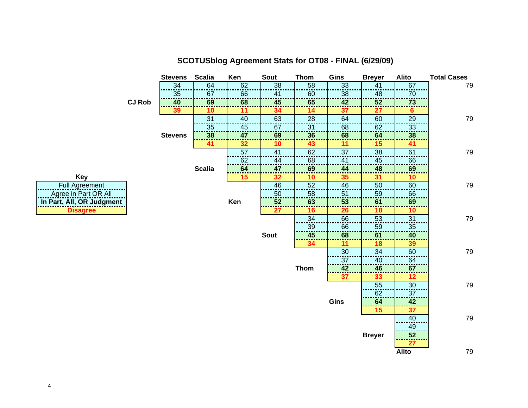

#### **SCOTUSblog Agreement Stats for OT08 - FINAL (6/29/09)**

**Ke**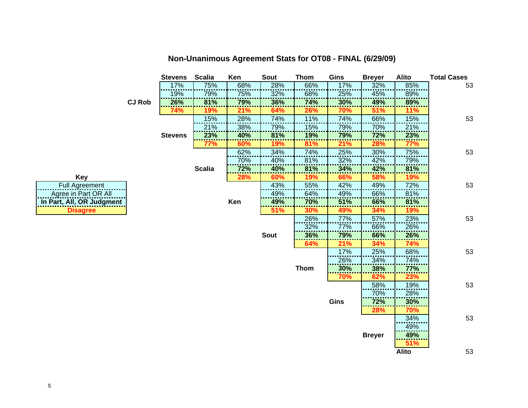|                           |               | <b>Stevens</b> | <b>Scalia</b> | Ken | Sout        | <b>Thom</b> | Gins | <b>Breyer</b> | Alito        | <b>Total Cases</b> |
|---------------------------|---------------|----------------|---------------|-----|-------------|-------------|------|---------------|--------------|--------------------|
|                           |               | 17%            | 75%           | 68% | 28%         | 66%         | 17%  | 32%           | 85%          | 53                 |
|                           |               | 19%            | 79%           | 75% | 32%         | 68%         | 25%  | 45%           | 89%          |                    |
|                           | <b>CJ Rob</b> | 26%            | 81%           | 79% | 36%         | 74%         | 30%  | 49%           | 89%          |                    |
|                           |               | 74%            | 19%           | 21% | 64%         | 26%         | 70%  | 51%           | 11%          |                    |
|                           |               |                | 15%           | 28% | 74%         | 11%         | 74%  | 66%           | 15%          | 53                 |
|                           |               |                | 21%           | 38% | 79%         | 15%         | 79%  | 70%           | 21%          |                    |
|                           |               | <b>Stevens</b> | 23%           | 40% | 81%         | 19%         | 79%  | 72%           | 23%          |                    |
|                           |               |                | <b>77%</b>    | 60% | 19%         | 81%         | 21%  | 28%           | 77%          |                    |
|                           |               |                |               | 62% | 34%         | 74%         | 25%  | 30%           | 75%          | 53                 |
|                           |               |                |               | 70% | 40%         | 81%         | 32%  | 42%           | 79%          |                    |
|                           |               |                | <b>Scalia</b> | 72% | 40%         | 81%         | 34%  | 42%           | 81%          |                    |
| <b>Key</b>                |               |                |               | 28% | 60%         | 19%         | 66%  | 58%           | 19%          |                    |
| <b>Full Agreement</b>     |               |                |               |     | 43%         | 55%         | 42%  | 49%           | 72%          | 53                 |
| Agree in Part OR All      |               |                |               |     | 49%         | 64%         | 49%  | 66%           | 81%          |                    |
| In Part, All, OR Judgment |               |                |               | Ken | 49%         | 70%         | 51%  | 66%           | 81%          |                    |
| <b>Disagree</b>           |               |                |               |     | 51%         | 30%         | 49%  | 34%           | 19%          |                    |
|                           |               |                |               |     |             | 26%         | 77%  | 57%           | 23%          | 53                 |
|                           |               |                |               |     |             | 32%         | 77%  | 66%           | 26%          |                    |
|                           |               |                |               |     | <b>Sout</b> | 36%         | 79%  | 66%           | 26%          |                    |
|                           |               |                |               |     | 64%         |             | 21%  | 34%           | 74%          |                    |
|                           |               |                |               |     |             |             | 17%  | 25%           | 68%          | 53                 |
|                           |               |                |               |     |             |             | 26%  | 34%           | 74%          |                    |
|                           |               |                |               |     |             | <b>Thom</b> | 30%  | 38%           | 77%          |                    |
|                           |               |                |               |     |             |             | 70%  | 62%           | 23%          |                    |
|                           |               |                |               |     |             |             |      | 58%           | 19%          | 53                 |
|                           |               |                |               |     |             |             |      | 70%           | 28%          |                    |
|                           |               |                |               |     |             |             | Gins | 72%           | <b>30%</b>   |                    |
|                           |               |                |               |     |             |             |      | 28%           | 70%          |                    |
|                           |               |                |               |     |             |             |      |               | 34%          | 53                 |
|                           |               |                |               |     |             |             |      |               | 49%          |                    |
|                           |               |                |               |     |             |             |      | <b>Breyer</b> | 49%          |                    |
|                           |               |                |               |     |             |             |      |               | 51%          |                    |
|                           |               |                |               |     |             |             |      |               | <b>Alito</b> | 53                 |

#### **Non-Unanimous Agreement Stats for OT08 - FINAL (6/29/09)**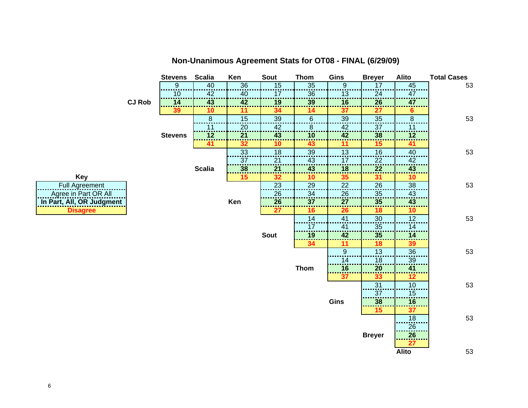

**Non-Unanimous Agreement Stats for OT08 - FINAL (6/29/09)** 

**Ke**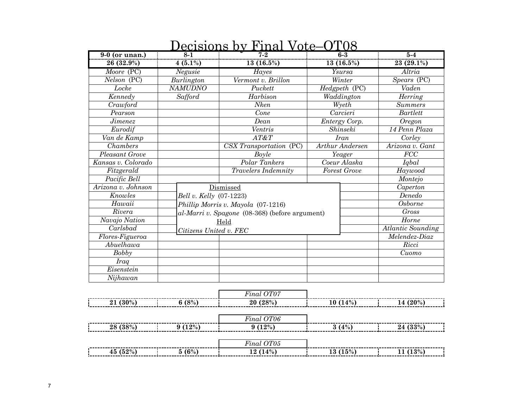| <u>9-0 (or unan.)</u> | <u> JULIDIUII D</u><br>$8 - 1$ | na<br>V VJUC<br>$7 - 2$                        | <u>vv</u><br>$6-3$            | $5-4$                         |
|-----------------------|--------------------------------|------------------------------------------------|-------------------------------|-------------------------------|
| 26 (32.9%)            | $\frac{1}{4}$ (5.1%)           | 13 (16.5%)                                     | $\frac{13(16.5%)}{13(16.5%)}$ | 23 (29.1%)                    |
| Moore (PC)            | Negusie                        | Hayes                                          | Ysursa                        | Altria                        |
| Nelson (PC)           | Burlington                     | Vermont v. Brillon                             | Winter                        | Spears (PC)                   |
| Locke                 | <b>NAMUDNO</b>                 | Puckett                                        | $H$ edg $p$ eth (PC)          | Vaden                         |
| Kennedy               | Safford                        | Harbison                                       | Waddington                    | Herring                       |
| Crawford              |                                | <b>Nken</b>                                    | Wyeth                         | <b>Summers</b>                |
| Pearson               |                                | Cone                                           | Carcieri                      | <b>Bartlett</b>               |
| <i><b>Jimenez</b></i> |                                | Dean                                           | Entergy Corp.                 | <b>Oregon</b>                 |
| Eurodif               |                                | Ventris                                        | Shinseki                      | 14 Penn Plaza                 |
| Van de Kamp           |                                | AT&T                                           | <b>Iran</b>                   | Corley                        |
| Chambers              |                                | CSX Transportation (PC)                        | Arthur Andersen               | $\overline{A}$ rizona v. Gant |
| Pleasant Grove        |                                | Boyle                                          | Yeager                        | $\overline{FCC}$              |
| Kansas v. Colorado    |                                | Polar Tankers                                  | Coeur Alaska                  | Iqbal                         |
| Fitzgerald            |                                | <b>Travelers Indemnity</b>                     | <b>Forest Grove</b>           | Haywood                       |
| Pacific Bell          |                                |                                                |                               | Montejo                       |
| Arizona v. Johnson    |                                | Dismissed                                      |                               | Caperton                      |
| Knowles               | Bell v. Kelly (07-1223)        |                                                |                               | Denedo                        |
| Hawaii                |                                | Phillip Morris v. Mayola (07-1216)             |                               | <b>Osborne</b>                |
| Rivera                |                                | al-Marri v. Spagone (08-368) (before argument) |                               | <b>Gross</b>                  |
| Navajo Nation         |                                | Held                                           |                               | Horne                         |
| Carlsbad              | Citizens United v. FEC         |                                                |                               | <b>Atlantic Sounding</b>      |
| $Flores-Figueroa$     |                                |                                                |                               | Melendez-Diaz                 |
| Abuelhawa             |                                |                                                |                               | Ricci                         |
| Bobby                 |                                |                                                |                               | Cuomo                         |
| <b>Iraq</b>           |                                |                                                |                               |                               |
| Eisenstein            |                                |                                                |                               |                               |
| Nijhawan              |                                |                                                |                               |                               |
|                       |                                |                                                |                               |                               |
|                       |                                | Final OT07                                     |                               |                               |
| 21 (30%)              | 6(8%)                          | 20(28%)                                        | 10(14%)                       | 14 (20%)                      |
|                       |                                | Final OT06                                     |                               |                               |
| 28 (38%)              | $9(12\%)$                      | 9(12%)                                         | 3(4%)                         | 24 (33%)                      |
|                       |                                |                                                |                               |                               |

#### **Decisions by Final Vote–OT08**

| -----------                        | U.<br>$n \alpha$ |                      |      |  |
|------------------------------------|------------------|----------------------|------|--|
| $(52\%$<br>$\Omega$ 0/<br>45<br>∕0 | 4%<br>ം<br>∸     | $\gamma_0$  <br>l eJ | 190/ |  |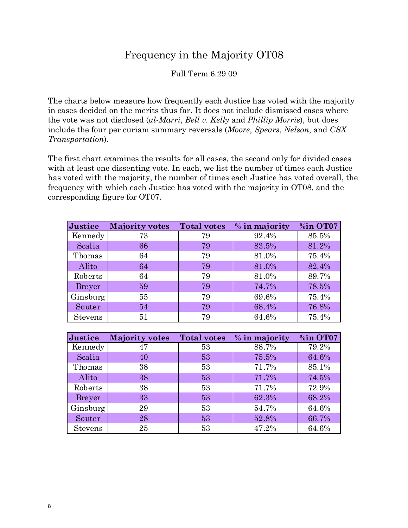#### Frequency in the Majority OT08

Full Term 6.29.09

The charts below measure how frequently each Justice has voted with the majority in cases decided on the merits thus far. It does not include dismissed cases where the vote was not disclosed (*al-Marri*, *Bell v. Kelly* and *Phillip Morris*), but does include the four per curiam summary reversals (*Moore*, *Spears*, *Nelson*, and *CSX Transportation*).

The first chart examines the results for all cases, the second only for divided cases with at least one dissenting vote. In each, we list the number of times each Justice has voted with the majority, the number of times each Justice has voted overall, the frequency with which each Justice has voted with the majority in OT08, and the corresponding figure for OT07.

| Justice        | <b>Majority votes</b> | <b>Total votes</b> | % in majority | %in OT07 |
|----------------|-----------------------|--------------------|---------------|----------|
| Kennedy        | 73                    | 79                 | 92.4%         | 85.5%    |
| Scalia         | 66                    | 79                 | 83.5%         | 81.2%    |
| Thomas         | 64                    | 79                 | 81.0%         | 75.4%    |
| Alito          | 64                    | 79                 | 81.0%         | 82.4%    |
| Roberts        | 64                    | 79                 | 81.0%         | 89.7%    |
| <b>Breyer</b>  | 59                    | 79                 | 74.7%         | 78.5%    |
| Ginsburg       | 55                    | 79                 | 69.6%         | 75.4%    |
| Souter         | 54                    | 79                 | 68.4%         | 76.8%    |
| <b>Stevens</b> | 51                    | 79                 | 64.6%         | 75.4%    |

| Justice        | <b>Majority votes</b> | <b>Total votes</b> | % in majority | %in OT07 |
|----------------|-----------------------|--------------------|---------------|----------|
| Kennedy        | 47                    | 53                 | 88.7%         | 79.2%    |
| Scalia         | 40                    | 53                 | 75.5%         | 64.6%    |
| Thomas         | 38                    | 53                 | 71.7%         | 85.1%    |
| Alito          | 38                    | 53                 | 71.7%         | 74.5%    |
| Roberts        | 38                    | 53                 | 71.7%         | 72.9%    |
| <b>Breyer</b>  | 33                    | 53                 | 62.3%         | 68.2%    |
| Ginsburg       | 29                    | 53                 | 54.7%         | 64.6%    |
| Souter         | 28                    | 53                 | 52.8%         | 66.7%    |
| <b>Stevens</b> | 25                    | 53                 | 47.2%         | 64.6%    |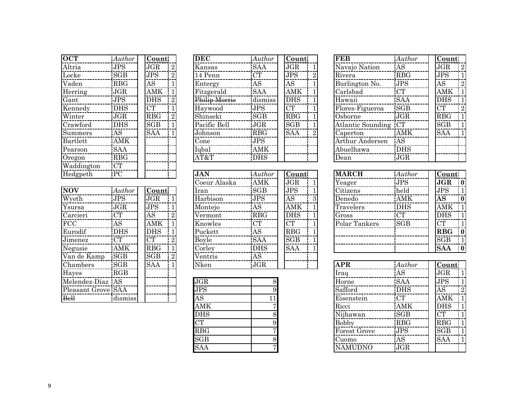| <b>OCT</b>         | Author                  | Count                   |                | <b>DEC</b>               | Au                     |
|--------------------|-------------------------|-------------------------|----------------|--------------------------|------------------------|
| Altria             | <b>JPS</b>              | JGR                     | $\overline{2}$ | Kansas                   | <b>SA</b>              |
| Locke              | $\overline{\text{SGB}}$ | JPS                     | $\overline{2}$ | 14 Penn                  | <b>CT</b>              |
| Vaden              | <b>RBG</b>              | AS                      | $\mathbf{1}$   | Entergy                  | <b>AS</b>              |
| Herring            | JGR                     | <b>AMK</b>              | $\mathbf{1}$   | Fitzgerald               | $\overline{\text{SA}}$ |
| Gant               | <b>JPS</b>              | <b>DHS</b>              | $\sqrt{2}$     | Philip Morris            | dis                    |
| Kennedy            | DHS                     | $\overline{\text{CT}}$  | $\mathbf{1}$   | Haywood                  | J <sub>P</sub>         |
| Winter             | <b>JGR</b>              | RBG                     | $\overline{2}$ | Shinseki                 | $\overline{\text{SG}}$ |
| Crawford           | <b>DHS</b>              | $\overline{\text{SGB}}$ | $\overline{1}$ | Pacific Bell             | $\overline{\text{JG}}$ |
| Summers            | AS                      | $\overline{\text{SAA}}$ | $\mathbf{1}$   | Johnson                  | <b>RE</b>              |
| Bartlett           | <b>AMK</b>              |                         |                | $\overline{\text{Cone}}$ | $J\overline{P}$        |
| Pearson            | $\overline{\text{SAA}}$ |                         |                | Iqbal                    | ĀÑ                     |
| Oregon             | $R\overline{BG}$        |                         |                | AT&T                     | DF                     |
| Waddington         | <b>CT</b>               |                         |                |                          |                        |
| Hedgpeth           | $\overline{PC}$         |                         |                | <b>JAN</b>               | Au                     |
|                    |                         |                         |                | Coeur Alaska             | AN                     |
| <b>NOV</b>         | Author                  | Count                   |                | Iran                     | SG                     |
| Wyeth              | <b>JPS</b>              | $_{\rm JGR}$            | $\mathbf{1}$   | Harbison                 | $\overline{\text{JP}}$ |
| Ysursa             | JGR                     | JPS                     | $\mathbf{1}$   | Montejo                  | <b>AS</b>              |
| Carcieri           | $\overline{\text{CT}}$  | <b>AS</b>               | $\overline{2}$ | Vermont                  | RP                     |
| FCC                | $\overline{\text{AS}}$  | <b>AMK</b>              | $\mathbf{1}$   | Knowles                  | <b>CT</b>              |
| Eurodif            | <b>DHS</b>              | DHS                     | $\mathbf{1}$   | Puckett                  | <b>AS</b>              |
| Jimenez            | <b>CT</b>               | CT                      | $\overline{2}$ | Boyle                    | SĀ                     |
| Negusie            | AMK                     | $\overline{\text{RBG}}$ | $\mathbf{1}$   | Corley                   | $\overline{\rm DF}$    |
| Van de Kamp SGB    |                         | $\overline{\text{SGB}}$ | $\sqrt{2}$     | Ventris                  | AS                     |
| Chambers           | <b>SGB</b>              | SAA                     | $\mathbf{1}$   | Nken                     | $\overline{\text{JG}}$ |
| Hayes              | RGB                     |                         |                |                          |                        |
| Melendez-Diaz AS   |                         |                         |                | $\overline{\rm JGR}$     |                        |
| Pleasant Grove SAA |                         |                         |                | JPS                      |                        |
| <b>Bell</b>        | dismiss                 |                         |                | AS                       |                        |

| $\overline{\text{OCT}}$ | Author                  | Count                   | <b>DEC</b>    | Author                  | Count                   |                | <b>FEB</b>           | Auth            |
|-------------------------|-------------------------|-------------------------|---------------|-------------------------|-------------------------|----------------|----------------------|-----------------|
| Altria                  | <b>JPS</b>              | $\overline{\text{JGR}}$ | Kansas        | <b>SAA</b>              | $\overline{\text{JGR}}$ |                | Navajo Nation        | AS <sup>-</sup> |
| Locke                   | SGB                     | JPS                     | 14 Penn       | <b>CT</b>               | <b>JPS</b>              |                | Rivera               | <b>RBG</b>      |
| Vaden                   | $R\overline{BG}$        | $\overline{\rm AS}$     | Entergy       | A <sub>S</sub>          | $\overline{\rm AS}$     |                | Burlington No.       | <b>JPS</b>      |
| Herring                 | JGR                     | <b>AMK</b>              | Fitzgerald    | <b>SAA</b>              | <b>AMK</b>              |                | Carlsbad             | <b>CT</b>       |
| Gant                    | <b>JPS</b>              | <b>DHS</b>              | Philip Morris | dismiss                 | <b>DHS</b>              |                | Hawaii               | <b>SAA</b>      |
| Kennedy                 | <b>DHS</b>              | $\overline{\text{CT}}$  | Haywood       | <b>JPS</b>              | $\overline{\text{CT}}$  |                | Flores-Figueroa      | <b>SGB</b>      |
| Winter                  | JGR                     | $\overline{\text{RBG}}$ | Shinseki      | SGB                     | RBG                     |                | Osborne              | <b>JGR</b>      |
| Crawford                | <b>DHS</b>              | $\overline{\text{SGB}}$ | Pacific Bell  | JGR                     | SGB                     |                | Atlantic Sounding CT |                 |
| Summers                 | A <sub>S</sub>          | $\overline{\text{SAA}}$ | Johnson       | <b>RBG</b>              | $\overline{\text{SAA}}$ | $\overline{2}$ | Caperton             | AMF             |
| Bartlett                | <b>AMK</b>              |                         | Cone          | $\overline{\text{JPS}}$ |                         |                | Arthur Andersen      | AS              |
| Pearson                 | $\overline{\text{SAA}}$ |                         | Iqbal         | <b>AMK</b>              |                         |                | Abuelhawa            | <b>DHS</b>      |
| $O$ regon               | <b>RBG</b>              |                         | AT&T          | <b>DHS</b>              |                         |                | Dean                 | <b>JGR</b>      |
| Waddington              | <b>CT</b>               |                         |               |                         |                         |                |                      |                 |
| Hedgpeth                | PC                      |                         | <b>JAN</b>    | Author                  | Count                   |                | <b>MARCH</b>         | Auth            |
|                         |                         |                         | Coeur Alaska  | AMK                     | JGR                     |                | Yeager               | <b>JPS</b>      |
| $\overline{\text{NOV}}$ | Author                  | <b>Count</b>            | Iran          | <b>SGB</b>              | JPS                     |                | Citizens             | held            |
| Wyeth                   | <b>JPS</b>              | JGR                     | Harbison      | <b>JPS</b>              | $\overline{\rm AS}$     | 3              | Denedo               | AMF             |
| Ysursa                  | JGR                     | JPS                     | Montejo       | AS                      | AMK                     |                | Travelers            | <b>DHS</b>      |
| Carcieri                | $\overline{\text{CT}}$  | $\overline{\rm AS}$     | Vermont       | <b>RBG</b>              | <b>DHS</b>              |                | Gross                | <b>CT</b>       |
| $\rm{FCC}$              | AS                      | AMK                     | Knowles       | <b>CT</b>               | $\overline{\text{CT}}$  |                | Polar Tankers        | <b>SGB</b>      |
| Eurodif                 | <b>DHS</b>              | <b>DHS</b>              | Puckett       | <b>AS</b>               | $\overline{\text{RBG}}$ |                |                      |                 |
| Jimenez                 | CT                      | CT                      | Boyle         | <b>SAA</b>              | SGB                     |                |                      |                 |
| Negusie                 | AMK                     | <b>RBG</b>              | Corley        | <b>DHS</b>              | <b>SAA</b>              |                |                      |                 |
| Van de Kamp             | <b>SGB</b>              | $\overline{\text{SGB}}$ | Ventris       | A <sub>S</sub>          |                         |                |                      |                 |
| Chambers                | <b>SGB</b>              | <b>SAA</b>              | Nken          | <b>JGR</b>              |                         |                | <b>APR</b>           | Auth            |
| Hayes                   | RGB                     |                         |               |                         |                         |                | Iraq                 | AS              |
| Melendez Diaz AS        |                         |                         | JGR           | 8                       |                         |                | Horne                | <b>SAA</b>      |
|                         |                         |                         |               |                         |                         |                |                      |                 |

| oun             | O. | <b>n</b> orne |                | - OA                   |
|-----------------|----|---------------|----------------|------------------------|
| <b>JPS</b>      |    | Safford       |                | DF                     |
| $\overline{AS}$ |    | Eisenstein    |                | $\overline{\text{CT}}$ |
| <b>AMK</b>      |    | Ricci         |                | <b>AM</b>              |
| <b>DHS</b>      |    | Nijhawan      |                | <b>SG</b>              |
| CT              |    | <b>Bobby</b>  |                | <b>RB</b>              |
| <b>RBG</b>      |    |               | Forest Grove   | $\overline{\text{JP}}$ |
| SGB             |    | Cuomo         |                | <b>AS</b>              |
| <b>SAA</b>      |    |               | <b>NAMUDNO</b> | JG                     |
|                 |    |               |                |                        |

| $\overline{\text{OCT}}$ | Author     | <b>Count</b>            |                | <b>DEC</b>    | Author     | <b>Count</b> |   | <b>FEB</b>           | Author     |            | <b>Count</b> |                |
|-------------------------|------------|-------------------------|----------------|---------------|------------|--------------|---|----------------------|------------|------------|--------------|----------------|
| Altria                  | <b>JPS</b> | JGR                     | 2              | Kansas        | <b>SAA</b> | JGR          |   | Navajo Nation        | AS         | JGR        |              | 12             |
| Locke                   | SGB        | JPS                     | $\mathbf{2}$   | 14 Penn       | CT         | <b>JPS</b>   |   | Rivera               | <b>RBG</b> | <b>JPS</b> |              |                |
| Vaden                   | <b>RBG</b> | AS                      |                | Entergy       | AS         | AS           |   | Burlington No.       | <b>JPS</b> | AS         |              | $\overline{2}$ |
| Herring                 | <b>JGR</b> | AMK                     |                | Fitzgerald    | <b>SAA</b> | <b>AMK</b>   |   | Carlsbad             | <b>CT</b>  |            | $AMK$ 1      |                |
| Gant                    | <b>JPS</b> | <b>DHS</b>              | $\overline{2}$ | Philip Morris | dismiss    | <b>DHS</b>   |   | Hawaii               | <b>SAA</b> | <b>DHS</b> |              |                |
| Kennedy                 | <b>DHS</b> | CT                      |                | Haywood       | <b>JPS</b> | <b>CT</b>    |   | Flores-Figueroa      | <b>SGB</b> | CT         |              |                |
| Winter                  | <b>JGR</b> | <b>RBG</b>              | $\overline{2}$ | Shinseki      | SGB        | <b>RBG</b>   |   | Osborne              | JGR        | RBG        |              |                |
| Crawford                | <b>DHS</b> | $\overline{\text{SGB}}$ |                | Pacific Bell  | <b>JGR</b> | SGB          |   | Atlantic Sounding CT |            | SGB        |              |                |
| Summers                 | AS         | <b>SAA</b>              |                | Johnson       | <b>RBG</b> | <b>SAA</b>   | റ | Caperton             | AMK        | <b>SAA</b> |              |                |
| Bartlett                | AMK        |                         |                | Cone          | <b>JPS</b> |              |   | Arthur Andersen      | AS         |            |              |                |
| Pearson                 | <b>SAA</b> |                         |                | Iqbal         | <b>AMK</b> |              |   | Abuelhawa            | <b>DHS</b> |            |              |                |
| Oregon                  | <b>RBG</b> |                         |                | AT&T          | <b>DHS</b> |              |   | Dean                 | <b>JGR</b> |            |              |                |
|                         |            |                         |                |               |            |              |   |                      |            |            |              |                |

| Hedgpeth     | PC         |            |                | <b>JAN</b>   | Author     | Count      |  | <b>MARCH</b>  | Author     | Count      |  |
|--------------|------------|------------|----------------|--------------|------------|------------|--|---------------|------------|------------|--|
|              |            |            |                | Coeur Alaska | <b>AMK</b> | <b>JGR</b> |  | Yeager        | <b>JPS</b> | JGR        |  |
| <b>NOV</b>   | Author     | Count      |                | Iran         | <b>SGB</b> | <b>JPS</b> |  | Citizens      | held       | JPS        |  |
| Wyeth        | JPS        | <b>JGR</b> |                | Harbison     | <b>JPS</b> | AS         |  | Denedo        | AMK        | <b>AS</b>  |  |
| Ysursa       | <b>JGR</b> | <b>JPS</b> |                | Montejo      | AS         | AMK        |  | Travelers     | <b>DHS</b> | AMK        |  |
| Carcieri     | <b>CT</b>  | AS         |                | Vermont      | <b>RBG</b> | <b>DHS</b> |  | Gross         | <b>CT</b>  | <b>DHS</b> |  |
| $_{\rm FCC}$ | AS         | AMK        |                | Knowles      | <b>CT</b>  | <b>CT</b>  |  | Polar Tankers | <b>SGB</b> | <b>CT</b>  |  |
| Eurodif      | <b>DHS</b> | <b>DHS</b> |                | Puckett      | AS         | <b>RBG</b> |  |               |            | <b>RBG</b> |  |
| Jimenez      | CT         | CT         | $\overline{2}$ | Boyle        | <b>SAA</b> | SGB        |  |               |            | SGB        |  |
| Negusie      | AMK        | RBG        |                | Corley       | <b>DHS</b> | <b>SAA</b> |  |               |            | <b>SAA</b> |  |

| Chambers           | <b>SGB</b> | <b>SAA</b> | Nken       | JGR | <b>APR</b>     | Author     | Count      |                |
|--------------------|------------|------------|------------|-----|----------------|------------|------------|----------------|
| <b>Hayes</b>       | RGB        |            |            |     | Iraq           | AS         | JGR        |                |
| Melendez-Diaz AS   |            |            | JGR        |     | Horne          | <b>SAA</b> | <b>JPS</b> |                |
| Pleasant Grove SAA |            |            | JPS        |     | Safford        | DHS        | AS         | $\overline{2}$ |
| $B$ ell            | dismiss    |            | AS         |     | Eisenstein     | <b>CT</b>  | AMK        |                |
|                    |            |            | AMK        |     | Ricci          | <b>AMK</b> | <b>DHS</b> |                |
|                    |            |            | <b>DHS</b> |     | Nijhawan       | <b>SGB</b> | <b>CT</b>  |                |
|                    |            |            | CT         |     | <b>Bobby</b>   | <b>RBG</b> | <b>RBG</b> |                |
|                    |            |            | <b>RBG</b> |     | Forest Grove   | <b>JPS</b> | SGB        |                |
|                    |            |            | SGB        |     | Cuomo          | AS         | <b>SAA</b> |                |
|                    |            |            | <b>SAA</b> |     | <b>NAMUDNO</b> | <b>JGR</b> |            |                |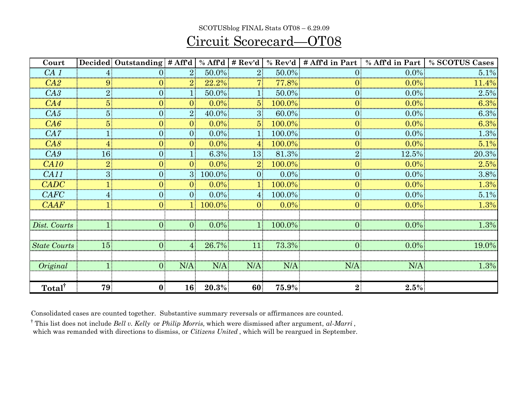#### SCOTUSblog FINAL Stats OT08 – 6.29.09

#### Circuit Scorecard—OT08

| Court               |    | Decided Outstanding # Aff'd |                 | $%$ Aff'd | # Rev'd         | $%$ Rev'd  | # Aff'd in Part | % Aff'd in Part | % SCOTUS Cases |
|---------------------|----|-----------------------------|-----------------|-----------|-----------------|------------|-----------------|-----------------|----------------|
| CA1                 |    |                             | 2 <sup>1</sup>  | 50.0%     | 2 <sup>1</sup>  | $50.0\%$ . | $\Omega$        | $0.0\%$         | 5.1%           |
| CA2                 |    |                             | 2 <sup>1</sup>  | $22.2\%$  |                 | $77.8\%$   |                 | $0.0\%$         | 11.4%          |
| C A3                |    |                             |                 | 50.0%     | $\mathbf{1}$    | 50.0%      |                 | $0.0\%$         | 2.5%           |
| CA4                 |    |                             | $\overline{0}$  | $0.0\%$   | 5 <sup>1</sup>  | $100.0\%$  |                 | $0.0\%$         | 6.3%           |
| CA5                 |    |                             | 2 <sup>1</sup>  | 40.0%     | 3 <sup>1</sup>  | 60.0%      |                 | $0.0\%$         | 6.3%           |
| $C\mathcal{A}6$     |    |                             | $\overline{0}$  | $0.0\%$   | 5 <sup>1</sup>  | $100.0\%$  |                 | $0.0\%$         | 6.3%           |
| CA7                 |    |                             |                 | $0.0\%$   |                 | 100.0%     |                 | $0.0\%$         | $1.3\%$        |
| CAS                 |    |                             | 01              | $0.0\%$   | $\mathbf{4}$    | 100.0%     |                 | $0.0\%$         | 5.1%           |
| C A 9               |    |                             |                 | $6.3\%$   | 13              | 81.3%      |                 | 12.5%           | 20.3%          |
| CA10                |    |                             | $\Omega$        | $0.0\%$   | $2^{\circ}$     | $100.0\%$  |                 | $0.0\%$         | 2.5%           |
| CA11                |    | 01                          | 3 <sup>1</sup>  | 100.0%    | $\overline{0}$  | $0.0\%$    |                 | $0.0\%$         | 3.8%           |
| <b>CADC</b>         |    |                             |                 | $0.0\%$   |                 | $100.0\%$  |                 | $0.0\%$         | $1.3\%$        |
| <b>CAFC</b>         |    |                             | $\overline{0}$  | $0.0\%$   | $\vert 4 \vert$ | 100.0%     |                 | $0.0\%$         | 5.1%           |
| C A A F             |    |                             | 11.             | 100.0%    | $\Omega$        | $0.0\%$    |                 | $0.0\%$         | 1.3%           |
|                     |    |                             |                 |           |                 |            |                 |                 |                |
| Dist. Courts        |    |                             | $\overline{0}$  | $0.0\%$   |                 | $100.0\%$  |                 | $0.0\%$         | 1.3%           |
|                     |    |                             |                 |           |                 |            |                 |                 |                |
| <b>State Courts</b> | 15 |                             | $4^{\circ}$     | 26.7%     | 11              | 73.3%      |                 | $0.0\%$         | 19.0%          |
|                     |    |                             |                 |           |                 |            |                 |                 |                |
| Original            |    | $\Omega$                    | N/A             | N/A       | N/A             | N/A        | N/A             | N/A             | 1.3%           |
|                     |    |                             |                 |           |                 |            |                 |                 |                |
| Total <sup>†</sup>  | 79 | $\mathbf{0}$                | 16 <sup>1</sup> | $20.3\%$  | 60              | $75.9\%$   | 2 <sup>1</sup>  | 2.5%            |                |

Consolidated cases are counted together. Substantive summary reversals or affirmances are counted.

† This list does not include *Bell v. Kelly* or *Philip Morris,* which were dismissed after argument, *al-Marri* ,

which was remanded with directions to dismiss, or *Citizens United* , which will be reargued in September.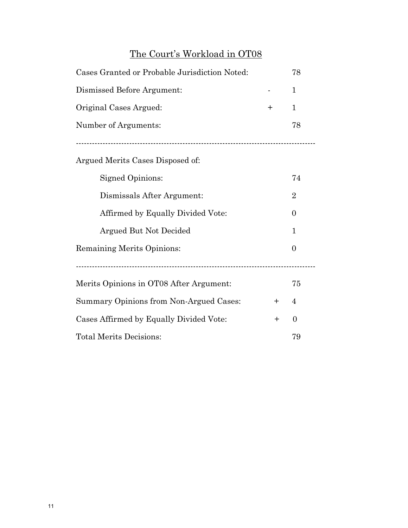#### The Court's Workload in OT08

| Cases Granted or Probable Jurisdiction Noted:    |       |              |  |  |  |  |  |  |
|--------------------------------------------------|-------|--------------|--|--|--|--|--|--|
| Dismissed Before Argument:                       |       | $\mathbf{1}$ |  |  |  |  |  |  |
| Original Cases Argued:                           | $\pm$ | $\mathbf{1}$ |  |  |  |  |  |  |
| Number of Arguments:                             |       | 78           |  |  |  |  |  |  |
|                                                  |       |              |  |  |  |  |  |  |
| Argued Merits Cases Disposed of:                 |       |              |  |  |  |  |  |  |
| <b>Signed Opinions:</b>                          |       | 74           |  |  |  |  |  |  |
| Dismissals After Argument:                       |       |              |  |  |  |  |  |  |
| Affirmed by Equally Divided Vote:                |       | $\theta$     |  |  |  |  |  |  |
| Argued But Not Decided                           |       | $\mathbf{1}$ |  |  |  |  |  |  |
| Remaining Merits Opinions:                       |       | $\theta$     |  |  |  |  |  |  |
|                                                  |       |              |  |  |  |  |  |  |
| Merits Opinions in OT08 After Argument:<br>75    |       |              |  |  |  |  |  |  |
| Summary Opinions from Non-Argued Cases:<br>$+$   |       |              |  |  |  |  |  |  |
| Cases Affirmed by Equally Divided Vote:<br>$\pm$ |       |              |  |  |  |  |  |  |
| <b>Total Merits Decisions:</b><br>79             |       |              |  |  |  |  |  |  |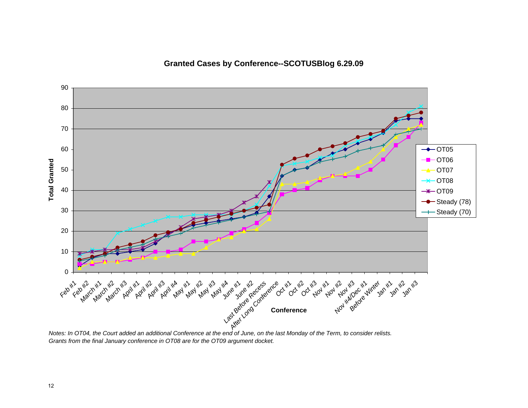**Granted Cases by Conference--SCOTUSBlog 6.29.09**



*Notes: In OT04, the Court added an additional Conference at the end of June, on the last Monday of the Term, to consider relists. Grants from the final January conference in OT08 are for the OT09 argument docket.*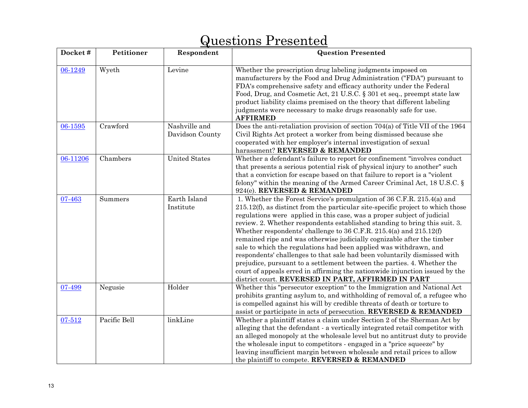| Docket#  | Petitioner   | Respondent                       | <b>Question Presented</b>                                                                                                                                                                                                                                                                                                                                                                                                                                                                                                                                                                                                                                                                                                                                                                                                              |
|----------|--------------|----------------------------------|----------------------------------------------------------------------------------------------------------------------------------------------------------------------------------------------------------------------------------------------------------------------------------------------------------------------------------------------------------------------------------------------------------------------------------------------------------------------------------------------------------------------------------------------------------------------------------------------------------------------------------------------------------------------------------------------------------------------------------------------------------------------------------------------------------------------------------------|
| 06-1249  | Wyeth        | Levine                           | Whether the prescription drug labeling judgments imposed on<br>manufacturers by the Food and Drug Administration ("FDA") pursuant to<br>FDA's comprehensive safety and efficacy authority under the Federal<br>Food, Drug, and Cosmetic Act, 21 U.S.C. § 301 et seq., preempt state law<br>product liability claims premised on the theory that different labeling<br>judgments were necessary to make drugs reasonably safe for use.<br><b>AFFIRMED</b>                                                                                                                                                                                                                                                                                                                                                                               |
| 06-1595  | Crawford     | Nashville and<br>Davidson County | Does the anti-retaliation provision of section 704(a) of Title VII of the 1964<br>Civil Rights Act protect a worker from being dismissed because she<br>cooperated with her employer's internal investigation of sexual<br>harassment? REVERSED & REMANDED                                                                                                                                                                                                                                                                                                                                                                                                                                                                                                                                                                             |
| 06-11206 | Chambers     | <b>United States</b>             | Whether a defendant's failure to report for confinement "involves conduct<br>that presents a serious potential risk of physical injury to another" such<br>that a conviction for escape based on that failure to report is a "violent<br>felony" within the meaning of the Armed Career Criminal Act, $18 \text{ U.S.C.}$<br>924(e). REVERSED & REMANDED                                                                                                                                                                                                                                                                                                                                                                                                                                                                               |
| 07-463   | Summers      | Earth Island<br>Institute        | 1. Whether the Forest Service's promulgation of 36 C.F.R. 215.4(a) and<br>$215.12(f)$ , as distinct from the particular site-specific project to which those<br>regulations were applied in this case, was a proper subject of judicial<br>review. 2. Whether respondents established standing to bring this suit. 3.<br>Whether respondents' challenge to 36 C.F.R. 215.4(a) and 215.12(f)<br>remained ripe and was otherwise judicially cognizable after the timber<br>sale to which the regulations had been applied was withdrawn, and<br>respondents' challenges to that sale had been voluntarily dismissed with<br>prejudice, pursuant to a settlement between the parties. 4. Whether the<br>court of appeals erred in affirming the nationwide injunction issued by the<br>district court. REVERSED IN PART, AFFIRMED IN PART |
| 07-499   | Negusie      | Holder                           | Whether this "persecutor exception" to the Immigration and National Act<br>prohibits granting asylum to, and withholding of removal of, a refugee who<br>is compelled against his will by credible threats of death or torture to<br>assist or participate in acts of persecution. REVERSED & REMANDED                                                                                                                                                                                                                                                                                                                                                                                                                                                                                                                                 |
| 07-512   | Pacific Bell | linkLine                         | Whether a plaintiff states a claim under Section 2 of the Sherman Act by<br>alleging that the defendant - a vertically integrated retail competitor with<br>an alleged monopoly at the wholesale level but no antitrust duty to provide<br>the wholesale input to competitors - engaged in a "price squeeze" by<br>leaving insufficient margin between wholesale and retail prices to allow<br>the plaintiff to compete. REVERSED & REMANDED                                                                                                                                                                                                                                                                                                                                                                                           |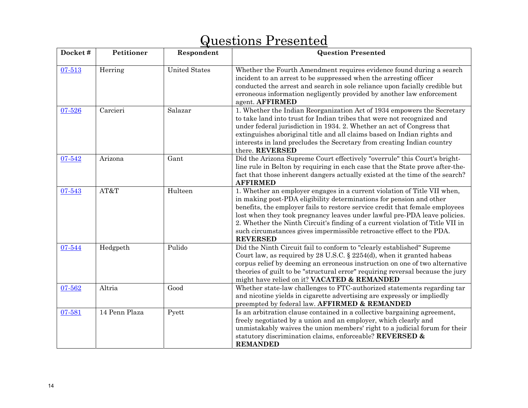| Docket# | Petitioner    | Respondent           | <b>Question Presented</b>                                                                                                                                                                                                                                                                                                                                                                                                                                                                 |
|---------|---------------|----------------------|-------------------------------------------------------------------------------------------------------------------------------------------------------------------------------------------------------------------------------------------------------------------------------------------------------------------------------------------------------------------------------------------------------------------------------------------------------------------------------------------|
| 07-513  | Herring       | <b>United States</b> | Whether the Fourth Amendment requires evidence found during a search<br>incident to an arrest to be suppressed when the arresting officer<br>conducted the arrest and search in sole reliance upon facially credible but<br>erroneous information negligently provided by another law enforcement<br>agent. AFFIRMED                                                                                                                                                                      |
| 07-526  | Carcieri      | Salazar              | 1. Whether the Indian Reorganization Act of 1934 empowers the Secretary<br>to take land into trust for Indian tribes that were not recognized and<br>under federal jurisdiction in 1934. 2. Whether an act of Congress that<br>extinguishes aboriginal title and all claims based on Indian rights and<br>interests in land precludes the Secretary from creating Indian country<br>there. REVERSED                                                                                       |
| 07-542  | Arizona       | Gant                 | Did the Arizona Supreme Court effectively "overrule" this Court's bright-<br>line rule in Belton by requiring in each case that the State prove after-the-<br>fact that those inherent dangers actually existed at the time of the search?<br><b>AFFIRMED</b>                                                                                                                                                                                                                             |
| 07-543  | AT&T          | Hulteen              | 1. Whether an employer engages in a current violation of Title VII when,<br>in making post-PDA eligibility determinations for pension and other<br>benefits, the employer fails to restore service credit that female employees<br>lost when they took pregnancy leaves under lawful pre-PDA leave policies.<br>2. Whether the Ninth Circuit's finding of a current violation of Title VII in<br>such circumstances gives impermissible retroactive effect to the PDA.<br><b>REVERSED</b> |
| 07-544  | Hedgpeth      | Pulido               | Did the Ninth Circuit fail to conform to "clearly established" Supreme<br>Court law, as required by 28 U.S.C. § 2254(d), when it granted habeas<br>corpus relief by deeming an erroneous instruction on one of two alternative<br>theories of guilt to be "structural error" requiring reversal because the jury<br>might have relied on it? VACATED & REMANDED                                                                                                                           |
| 07-562  | Altria        | Good                 | Whether state-law challenges to FTC-authorized statements regarding tar<br>and nicotine yields in cigarette advertising are expressly or impliedly<br>preempted by federal law. AFFIRMED & REMANDED                                                                                                                                                                                                                                                                                       |
| 07-581  | 14 Penn Plaza | Pyett                | Is an arbitration clause contained in a collective bargaining agreement,<br>freely negotiated by a union and an employer, which clearly and<br>unmistakably waives the union members' right to a judicial forum for their<br>statutory discrimination claims, enforceable? REVERSED &<br><b>REMANDED</b>                                                                                                                                                                                  |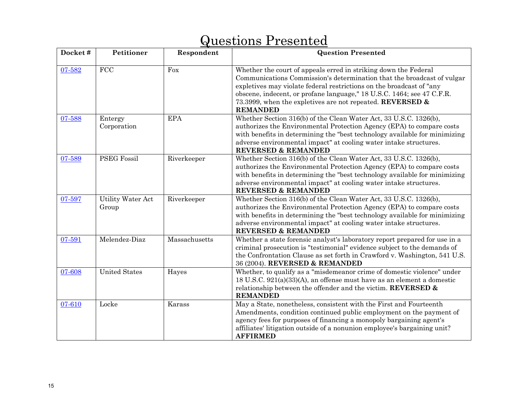| Docket# | Petitioner                 | Respondent    | <b>Question Presented</b>                                                                                                                                                                                                                                                                                                                                                   |
|---------|----------------------------|---------------|-----------------------------------------------------------------------------------------------------------------------------------------------------------------------------------------------------------------------------------------------------------------------------------------------------------------------------------------------------------------------------|
| 07-582  | FCC                        | Fox           | Whether the court of appeals erred in striking down the Federal<br>Communications Commission's determination that the broadcast of vulgar<br>expletives may violate federal restrictions on the broadcast of "any<br>obscene, indecent, or profane language," 18 U.S.C. 1464; see 47 C.F.R.<br>73.3999, when the expletives are not repeated. REVERSED &<br><b>REMANDED</b> |
| 07-588  | Entergy<br>Corporation     | <b>EPA</b>    | Whether Section 316(b) of the Clean Water Act, 33 U.S.C. 1326(b),<br>authorizes the Environmental Protection Agency (EPA) to compare costs<br>with benefits in determining the "best technology available for minimizing<br>adverse environmental impact" at cooling water intake structures.<br><b>REVERSED &amp; REMANDED</b>                                             |
| 07-589  | <b>PSEG Fossil</b>         | Riverkeeper   | Whether Section 316(b) of the Clean Water Act, 33 U.S.C. 1326(b),<br>authorizes the Environmental Protection Agency (EPA) to compare costs<br>with benefits in determining the "best technology available for minimizing<br>adverse environmental impact" at cooling water intake structures.<br><b>REVERSED &amp; REMANDED</b>                                             |
| 07-597  | Utility Water Act<br>Group | Riverkeeper   | Whether Section 316(b) of the Clean Water Act, 33 U.S.C. 1326(b),<br>authorizes the Environmental Protection Agency (EPA) to compare costs<br>with benefits in determining the "best technology available for minimizing<br>adverse environmental impact" at cooling water intake structures.<br><b>REVERSED &amp; REMANDED</b>                                             |
| 07-591  | Melendez-Diaz              | Massachusetts | Whether a state forensic analyst's laboratory report prepared for use in a<br>criminal prosecution is "testimonial" evidence subject to the demands of<br>the Confrontation Clause as set forth in Crawford v. Washington, 541 U.S.<br>36 (2004). REVERSED & REMANDED                                                                                                       |
| 07-608  | <b>United States</b>       | Hayes         | Whether, to qualify as a "misdemeanor crime of domestic violence" under<br>18 U.S.C. 921(a)(33)(A), an offense must have as an element a domestic<br>relationship between the offender and the victim. REVERSED $\&$<br><b>REMANDED</b>                                                                                                                                     |
| 07-610  | Locke                      | Karass        | May a State, nonetheless, consistent with the First and Fourteenth<br>Amendments, condition continued public employment on the payment of<br>agency fees for purposes of financing a monopoly bargaining agent's<br>affiliates' litigation outside of a nonunion employee's bargaining unit?<br><b>AFFIRMED</b>                                                             |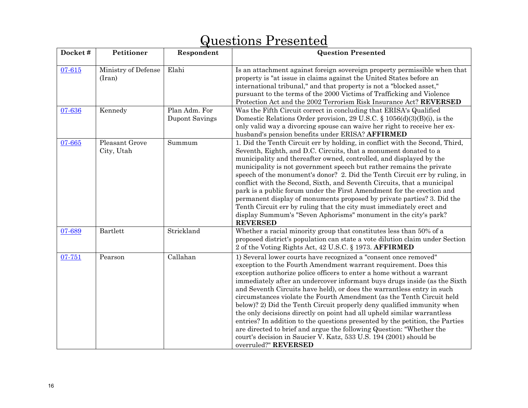| Docket# | Petitioner                    | Respondent                      | <b>Question Presented</b>                                                                                                                                                                                                                                                                                                                                                                                                                                                                                                                                                                                                                                                                                                                                                                                                                                |
|---------|-------------------------------|---------------------------------|----------------------------------------------------------------------------------------------------------------------------------------------------------------------------------------------------------------------------------------------------------------------------------------------------------------------------------------------------------------------------------------------------------------------------------------------------------------------------------------------------------------------------------------------------------------------------------------------------------------------------------------------------------------------------------------------------------------------------------------------------------------------------------------------------------------------------------------------------------|
| 07-615  | Ministry of Defense<br>(Iran) | Elahi                           | Is an attachment against foreign sovereign property permissible when that<br>property is "at issue in claims against the United States before an<br>international tribunal," and that property is not a "blocked asset,"<br>pursuant to the terms of the 2000 Victims of Trafficking and Violence<br>Protection Act and the 2002 Terrorism Risk Insurance Act? REVERSED                                                                                                                                                                                                                                                                                                                                                                                                                                                                                  |
| 07-636  | Kennedy                       | Plan Adm. For<br>Dupont Savings | Was the Fifth Circuit correct in concluding that ERISA's Qualified<br>Domestic Relations Order provision, 29 U.S.C. § 1056(d)(3)(B)(i), is the<br>only valid way a divorcing spouse can waive her right to receive her ex-<br>husband's pension benefits under ERISA? AFFIRMED                                                                                                                                                                                                                                                                                                                                                                                                                                                                                                                                                                           |
| 07-665  | Pleasant Grove<br>City, Utah  | Summum                          | 1. Did the Tenth Circuit err by holding, in conflict with the Second, Third,<br>Seventh, Eighth, and D.C. Circuits, that a monument donated to a<br>municipality and thereafter owned, controlled, and displayed by the<br>municipality is not government speech but rather remains the private<br>speech of the monument's donor? 2. Did the Tenth Circuit err by ruling, in<br>conflict with the Second, Sixth, and Seventh Circuits, that a municipal<br>park is a public forum under the First Amendment for the erection and<br>permanent display of monuments proposed by private parties? 3. Did the<br>Tenth Circuit err by ruling that the city must immediately erect and<br>display Summum's "Seven Aphorisms" monument in the city's park?<br><b>REVERSED</b>                                                                                |
| 07-689  | Bartlett                      | Strickland                      | Whether a racial minority group that constitutes less than 50% of a<br>proposed district's population can state a vote dilution claim under Section<br>2 of the Voting Rights Act, 42 U.S.C. § 1973. AFFIRMED                                                                                                                                                                                                                                                                                                                                                                                                                                                                                                                                                                                                                                            |
| 07-751  | Pearson                       | Callahan                        | 1) Several lower courts have recognized a "consent once removed"<br>exception to the Fourth Amendment warrant requirement. Does this<br>exception authorize police officers to enter a home without a warrant<br>immediately after an undercover informant buys drugs inside (as the Sixth<br>and Seventh Circuits have held), or does the warrantless entry in such<br>circumstances violate the Fourth Amendment (as the Tenth Circuit held<br>below)? 2) Did the Tenth Circuit properly deny qualified immunity when<br>the only decisions directly on point had all upheld similar warrantless<br>entries? In addition to the questions presented by the petition, the Parties<br>are directed to brief and argue the following Question: "Whether the<br>court's decision in Saucier V. Katz, 533 U.S. 194 (2001) should be<br>overruled?" REVERSED |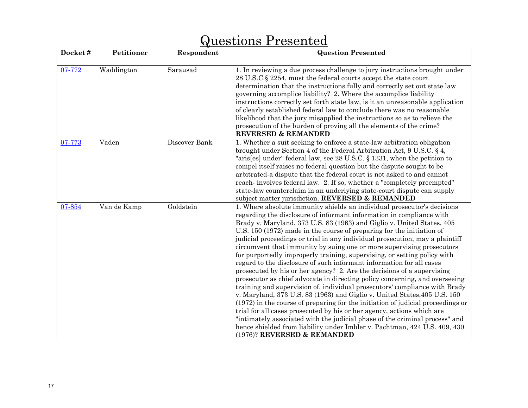| Docket# | Petitioner  | Respondent    | <b>Question Presented</b>                                                                                                                                                                                                                                                                                                                                                                                                                                                                                                                                                                                                                                                                                                                                                                                                                                                                                                                                                                                                                                                                                                                                                                                                                                                                   |
|---------|-------------|---------------|---------------------------------------------------------------------------------------------------------------------------------------------------------------------------------------------------------------------------------------------------------------------------------------------------------------------------------------------------------------------------------------------------------------------------------------------------------------------------------------------------------------------------------------------------------------------------------------------------------------------------------------------------------------------------------------------------------------------------------------------------------------------------------------------------------------------------------------------------------------------------------------------------------------------------------------------------------------------------------------------------------------------------------------------------------------------------------------------------------------------------------------------------------------------------------------------------------------------------------------------------------------------------------------------|
| 07-772  | Waddington  | Sarausad      | 1. In reviewing a due process challenge to jury instructions brought under<br>28 U.S.C. § 2254, must the federal courts accept the state court<br>determination that the instructions fully and correctly set out state law<br>governing accomplice liability? 2. Where the accomplice liability<br>instructions correctly set forth state law, is it an unreasonable application<br>of clearly established federal law to conclude there was no reasonable<br>likelihood that the jury misapplied the instructions so as to relieve the<br>prosecution of the burden of proving all the elements of the crime?<br>REVERSED & REMANDED                                                                                                                                                                                                                                                                                                                                                                                                                                                                                                                                                                                                                                                      |
| 07-773  | Vaden       | Discover Bank | 1. Whether a suit seeking to enforce a state-law arbitration obligation<br>brought under Section 4 of the Federal Arbitration Act, 9 U.S.C. § 4,<br>"aris[es] under" federal law, see 28 U.S.C. § 1331, when the petition to<br>compel itself raises no federal question but the dispute sought to be<br>arbitrated-a dispute that the federal court is not asked to and cannot<br>reach-involves federal law. 2. If so, whether a "completely preempted"<br>state-law counterclaim in an underlying state-court dispute can supply<br>subject matter jurisdiction. REVERSED & REMANDED                                                                                                                                                                                                                                                                                                                                                                                                                                                                                                                                                                                                                                                                                                     |
| 07-854  | Van de Kamp | Goldstein     | 1. Where absolute immunity shields an individual prosecutor's decisions<br>regarding the disclosure of informant information in compliance with<br>Brady v. Maryland, 373 U.S. 83 (1963) and Giglio v. United States, 405<br>U.S. 150 (1972) made in the course of preparing for the initiation of<br>judicial proceedings or trial in any individual prosecution, may a plaintiff<br>circumvent that immunity by suing one or more supervising prosecutors<br>for purportedly improperly training, supervising, or setting policy with<br>regard to the disclosure of such informant information for all cases<br>prosecuted by his or her agency? 2. Are the decisions of a supervising<br>prosecutor as chief advocate in directing policy concerning, and overseeing<br>training and supervision of, individual prosecutors' compliance with Brady<br>v. Maryland, 373 U.S. 83 (1963) and Giglio v. United States, 405 U.S. 150<br>(1972) in the course of preparing for the initiation of judicial proceedings or<br>trial for all cases prosecuted by his or her agency, actions which are<br>"intimately associated with the judicial phase of the criminal process" and<br>hence shielded from liability under Imbler v. Pachtman, 424 U.S. 409, 430<br>(1976)? REVERSED & REMANDED |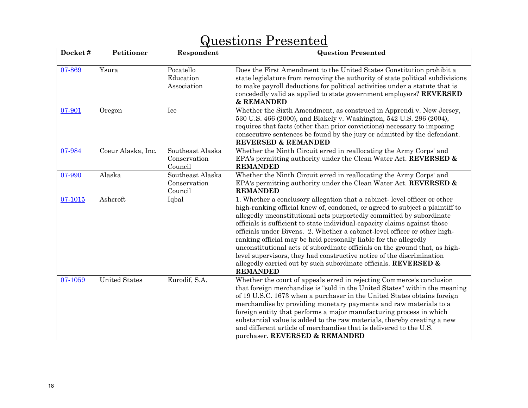| Docket# | Petitioner           | Respondent                                  | <b>Question Presented</b>                                                                                                                                                                                                                                                                                                                                                                                                                                                                                                                                                                                                                                                                                    |
|---------|----------------------|---------------------------------------------|--------------------------------------------------------------------------------------------------------------------------------------------------------------------------------------------------------------------------------------------------------------------------------------------------------------------------------------------------------------------------------------------------------------------------------------------------------------------------------------------------------------------------------------------------------------------------------------------------------------------------------------------------------------------------------------------------------------|
| 07-869  | Ysura                | Pocatello<br>Education<br>Association       | Does the First Amendment to the United States Constitution prohibit a<br>state legislature from removing the authority of state political subdivisions<br>to make payroll deductions for political activities under a statute that is<br>concededly valid as applied to state government employers? REVERSED<br>& REMANDED                                                                                                                                                                                                                                                                                                                                                                                   |
| 07-901  | Oregon               | Ice                                         | Whether the Sixth Amendment, as construed in Apprendi v. New Jersey,<br>530 U.S. 466 (2000), and Blakely v. Washington, 542 U.S. 296 (2004),<br>requires that facts (other than prior convictions) necessary to imposing<br>consecutive sentences be found by the jury or admitted by the defendant.<br><b>REVERSED &amp; REMANDED</b>                                                                                                                                                                                                                                                                                                                                                                       |
| 07-984  | Coeur Alaska, Inc.   | Southeast Alaska<br>Conservation<br>Council | Whether the Ninth Circuit erred in reallocating the Army Corps' and<br>EPA's permitting authority under the Clean Water Act. REVERSED &<br><b>REMANDED</b>                                                                                                                                                                                                                                                                                                                                                                                                                                                                                                                                                   |
| 07-990  | Alaska               | Southeast Alaska<br>Conservation<br>Council | Whether the Ninth Circuit erred in reallocating the Army Corps' and<br>EPA's permitting authority under the Clean Water Act. REVERSED &<br><b>REMANDED</b>                                                                                                                                                                                                                                                                                                                                                                                                                                                                                                                                                   |
| 07-1015 | Ashcroft             | Iqbal                                       | 1. Whether a conclusory allegation that a cabinet-level officer or other<br>high-ranking official knew of, condoned, or agreed to subject a plaintiff to<br>allegedly unconstitutional acts purportedly committed by subordinate<br>officials is sufficient to state individual-capacity claims against those<br>officials under Bivens. 2. Whether a cabinet-level officer or other high-<br>ranking official may be held personally liable for the allegedly<br>unconstitutional acts of subordinate officials on the ground that, as high-<br>level supervisors, they had constructive notice of the discrimination<br>allegedly carried out by such subordinate officials. REVERSED &<br><b>REMANDED</b> |
| 07-1059 | <b>United States</b> | Eurodif, S.A.                               | Whether the court of appeals erred in rejecting Commerce's conclusion<br>that foreign merchandise is "sold in the United States" within the meaning<br>of 19 U.S.C. 1673 when a purchaser in the United States obtains foreign<br>merchandise by providing monetary payments and raw materials to a<br>foreign entity that performs a major manufacturing process in which<br>substantial value is added to the raw materials, thereby creating a new<br>and different article of merchandise that is delivered to the U.S.<br>purchaser. REVERSED & REMANDED                                                                                                                                                |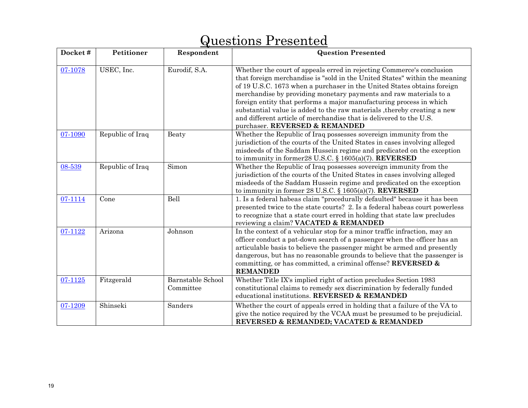| Docket# | Petitioner       | Respondent                            | <b>Question Presented</b>                                                                                                                                                                                                                                                                                                                                                                                                                                                                                                                                     |
|---------|------------------|---------------------------------------|---------------------------------------------------------------------------------------------------------------------------------------------------------------------------------------------------------------------------------------------------------------------------------------------------------------------------------------------------------------------------------------------------------------------------------------------------------------------------------------------------------------------------------------------------------------|
| 07-1078 | USEC, Inc.       | Eurodif, S.A.                         | Whether the court of appeals erred in rejecting Commerce's conclusion<br>that foreign merchandise is "sold in the United States" within the meaning<br>of 19 U.S.C. 1673 when a purchaser in the United States obtains foreign<br>merchandise by providing monetary payments and raw materials to a<br>foreign entity that performs a major manufacturing process in which<br>substantial value is added to the raw materials, thereby creating a new<br>and different article of merchandise that is delivered to the U.S.<br>purchaser. REVERSED & REMANDED |
| 07-1090 | Republic of Iraq | Beaty                                 | Whether the Republic of Iraq possesses sovereign immunity from the<br>jurisdiction of the courts of the United States in cases involving alleged<br>misdeeds of the Saddam Hussein regime and predicated on the exception<br>to immunity in former 28 U.S.C. § 1605(a)(7). REVERSED                                                                                                                                                                                                                                                                           |
| 08-539  | Republic of Iraq | Simon                                 | Whether the Republic of Iraq possesses sovereign immunity from the<br>jurisdiction of the courts of the United States in cases involving alleged<br>misdeeds of the Saddam Hussein regime and predicated on the exception<br>to immunity in former 28 U.S.C. § $1605(a)(7)$ . REVERSED                                                                                                                                                                                                                                                                        |
| 07-1114 | Cone             | Bell                                  | 1. Is a federal habeas claim "procedurally defaulted" because it has been<br>presented twice to the state courts? 2. Is a federal habeas court powerless<br>to recognize that a state court erred in holding that state law precludes<br>reviewing a claim? VACATED & REMANDED                                                                                                                                                                                                                                                                                |
| 07-1122 | Arizona          | Johnson                               | In the context of a vehicular stop for a minor traffic infraction, may an<br>officer conduct a pat-down search of a passenger when the officer has an<br>articulable basis to believe the passenger might be armed and presently<br>dangerous, but has no reasonable grounds to believe that the passenger is<br>committing, or has committed, a criminal offense? REVERSED $\&$<br><b>REMANDED</b>                                                                                                                                                           |
| 07-1125 | Fitzgerald       | <b>Barnstable School</b><br>Committee | Whether Title IX's implied right of action precludes Section 1983<br>constitutional claims to remedy sex discrimination by federally funded<br>educational institutions. REVERSED & REMANDED                                                                                                                                                                                                                                                                                                                                                                  |
| 07-1209 | Shinseki         | Sanders                               | Whether the court of appeals erred in holding that a failure of the VA to<br>give the notice required by the VCAA must be presumed to be prejudicial.<br>REVERSED & REMANDED; VACATED & REMANDED                                                                                                                                                                                                                                                                                                                                                              |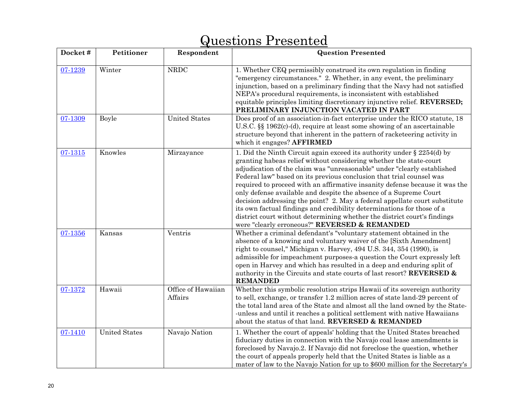| Docket# | Petitioner           | Respondent                    | <b>Question Presented</b>                                                                                                                                                                                                                                                                                                                                                                                                                                                                                                                                                                                                                                                                                                                   |
|---------|----------------------|-------------------------------|---------------------------------------------------------------------------------------------------------------------------------------------------------------------------------------------------------------------------------------------------------------------------------------------------------------------------------------------------------------------------------------------------------------------------------------------------------------------------------------------------------------------------------------------------------------------------------------------------------------------------------------------------------------------------------------------------------------------------------------------|
| 07-1239 | Winter               | <b>NRDC</b>                   | 1. Whether CEQ permissibly construed its own regulation in finding<br>"emergency circumstances." 2. Whether, in any event, the preliminary<br>injunction, based on a preliminary finding that the Navy had not satisfied<br>NEPA's procedural requirements, is inconsistent with established<br>equitable principles limiting discretionary injunctive relief. REVERSED;<br>PRELIMINARY INJUNCTION VACATED IN PART                                                                                                                                                                                                                                                                                                                          |
| 07-1309 | <b>Boyle</b>         | <b>United States</b>          | Does proof of an association-in-fact enterprise under the RICO statute, 18<br>U.S.C. $\S$ 1962(c)-(d), require at least some showing of an ascertainable<br>structure beyond that inherent in the pattern of racketeering activity in<br>which it engages? AFFIRMED                                                                                                                                                                                                                                                                                                                                                                                                                                                                         |
| 07-1315 | Knowles              | Mirzayance                    | 1. Did the Ninth Circuit again exceed its authority under $\S 2254(d)$ by<br>granting habeas relief without considering whether the state-court<br>adjudication of the claim was "unreasonable" under "clearly established<br>Federal law" based on its previous conclusion that trial counsel was<br>required to proceed with an affirmative insanity defense because it was the<br>only defense available and despite the absence of a Supreme Court<br>decision addressing the point? 2. May a federal appellate court substitute<br>its own factual findings and credibility determinations for those of a<br>district court without determining whether the district court's findings<br>were "clearly erroneous?" REVERSED & REMANDED |
| 07-1356 | Kansas               | Ventris                       | Whether a criminal defendant's "voluntary statement obtained in the<br>absence of a knowing and voluntary waiver of the [Sixth Amendment]<br>right to counsel," Michigan v. Harvey, 494 U.S. 344, 354 (1990), is<br>admissible for impeachment purposes-a question the Court expressly left<br>open in Harvey and which has resulted in a deep and enduring split of<br>authority in the Circuits and state courts of last resort? REVERSED &<br><b>REMANDED</b>                                                                                                                                                                                                                                                                            |
| 07-1372 | Hawaii               | Office of Hawaiian<br>Affairs | Whether this symbolic resolution strips Hawaii of its sovereign authority<br>to sell, exchange, or transfer 1.2 million acres of state land-29 percent of<br>the total land area of the State and almost all the land owned by the State-<br>-unless and until it reaches a political settlement with native Hawaiians<br>about the status of that land. REVERSED & REMANDED                                                                                                                                                                                                                                                                                                                                                                |
| 07-1410 | <b>United States</b> | Navajo Nation                 | 1. Whether the court of appeals' holding that the United States breached<br>fiduciary duties in connection with the Navajo coal lease amendments is<br>foreclosed by Navajo.2. If Navajo did not foreclose the question, whether<br>the court of appeals properly held that the United States is liable as a<br>mater of law to the Navajo Nation for up to \$600 million for the Secretary's                                                                                                                                                                                                                                                                                                                                               |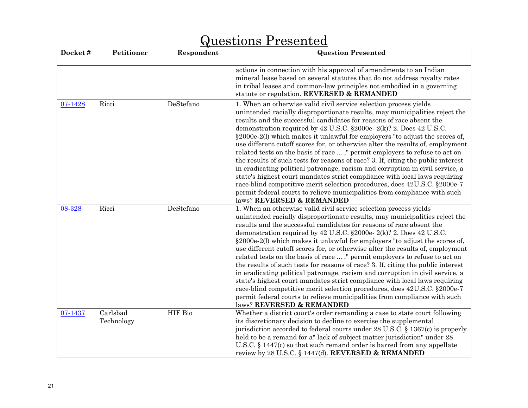#### **Docket # Petitioner Respondent | Respondent | Question Presented | Respondent | Question Presented | Respondent | Respondent | Respondent | Respondent | Respondent | Respondent | Respondent | Respondent | Respondent | Res** actions in connection with his approval of amendments to an Indian mineral lease based on several statutes that do not address royalty rates in tribal leases and common-law principles not embodied in a governing statute or regulation. **REVERSED & REMANDED** [07-1428](http://www.supremecourtus.gov/opinions/08pdf/07-1428.pdf)Ricci DeStefano 1. When an otherwise valid civil service selection process yields unintended racially disproportionate results, may municipalities reject the results and the successful candidates for reasons of race absent the demonstration required by 42 U.S.C. §2000e- 2(k)? 2. Does 42 U.S.C. §2000e-2(l) which makes it unlawful for employers "to adjust the scores of, use different cutoff scores for, or otherwise alter the results of, employment related tests on the basis of race ... ," permit employers to refuse to act on the results of such tests for reasons of race? 3. If, citing the public interest in eradicating political patronage, racism and corruption in civil service, a state's highest court mandates strict compliance with local laws requiring race-blind competitive merit selection procedures, does 42U.S.C. §2000e-7 permit federal courts to relieve municipalities from compliance with such laws? **REVERSED & REMANDED**  [08-328](http://www.supremecourtus.gov/opinions/08pdf/07-1428.pdf)Ricci DeStefano 1. When an otherwise valid civil service selection process yields unintended racially disproportionate results, may municipalities reject the results and the successful candidates for reasons of race absent the demonstration required by 42 U.S.C. §2000e- 2(k)? 2. Does 42 U.S.C. §2000e-2(l) which makes it unlawful for employers "to adjust the scores of, use different cutoff scores for, or otherwise alter the results of, employment related tests on the basis of race ... ," permit employers to refuse to act on the results of such tests for reasons of race? 3. If, citing the public interest in eradicating political patronage, racism and corruption in civil service, a state's highest court mandates strict compliance with local laws requiring race-blind competitive merit selection procedures, does 42U.S.C. §2000e-7 permit federal courts to relieve municipalities from compliance with such laws? **REVERSED & REMANDED**[07-1437](http://www.supremecourtus.gov/opinions/08pdf/07-1437.pdf) Carlsbad Technology HIF Bio Whether a district court's order remanding a case to state court following its discretionary decision to decline to exercise the supplemental jurisdiction accorded to federal courts under 28 U.S.C. § 1367(c) is properly held to be a remand for a" lack of subject matter jurisdiction" under 28 U.S.C. § 1447(c) so that such remand order is barred from any appellate review by 28 U.S.C. § 1447(d). **REVERSED & REMANDED**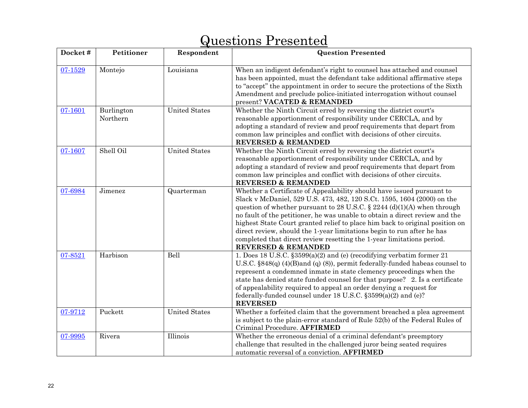| Docket# | Petitioner             | Respondent           | <b>Question Presented</b>                                                                                                                                                                                                                                                                                                                                                                                                                                                                                                                                            |
|---------|------------------------|----------------------|----------------------------------------------------------------------------------------------------------------------------------------------------------------------------------------------------------------------------------------------------------------------------------------------------------------------------------------------------------------------------------------------------------------------------------------------------------------------------------------------------------------------------------------------------------------------|
| 07-1529 | Montejo                | Louisiana            | When an indigent defendant's right to counsel has attached and counsel<br>has been appointed, must the defendant take additional affirmative steps<br>to "accept" the appointment in order to secure the protections of the Sixth<br>Amendment and preclude police-initiated interrogation without counsel<br>present? VACATED & REMANDED                                                                                                                                                                                                                            |
| 07-1601 | Burlington<br>Northern | <b>United States</b> | Whether the Ninth Circuit erred by reversing the district court's<br>reasonable apportionment of responsibility under CERCLA, and by<br>adopting a standard of review and proof requirements that depart from<br>common law principles and conflict with decisions of other circuits.<br><b>REVERSED &amp; REMANDED</b>                                                                                                                                                                                                                                              |
| 07-1607 | Shell Oil              | <b>United States</b> | Whether the Ninth Circuit erred by reversing the district court's<br>reasonable apportionment of responsibility under CERCLA, and by<br>adopting a standard of review and proof requirements that depart from<br>common law principles and conflict with decisions of other circuits.<br><b>REVERSED &amp; REMANDED</b>                                                                                                                                                                                                                                              |
| 07-6984 | Jimenez                | Quarterman           | Whether a Certificate of Appealability should have issued pursuant to<br>Slack v McDaniel, 529 U.S. 473, 482, 120 S.Ct. 1595, 1604 (2000) on the<br>question of whether pursuant to 28 U.S.C. § 2244 (d)(1)(A) when through<br>no fault of the petitioner, he was unable to obtain a direct review and the<br>highest State Court granted relief to place him back to original position on<br>direct review, should the 1-year limitations begin to run after he has<br>completed that direct review resetting the 1-year limitations period.<br>REVERSED & REMANDED |
| 07-8521 | Harbison               | Bell                 | 1. Does 18 U.S.C. §3599(a)(2) and (e) (recodifying verbatim former 21<br>U.S.C. $$848(q)$ (4)(B)and (q) (8)), permit federally-funded habeas counsel to<br>represent a condemned inmate in state clemency proceedings when the<br>state has denied state funded counsel for that purpose? 2. Is a certificate<br>of appealability required to appeal an order denying a request for<br>federally-funded counsel under 18 U.S.C. §3599(a)(2) and (e)?<br><b>REVERSED</b>                                                                                              |
| 07-9712 | Puckett                | <b>United States</b> | Whether a forfeited claim that the government breached a plea agreement<br>is subject to the plain-error standard of Rule 52(b) of the Federal Rules of<br>Criminal Procedure. AFFIRMED                                                                                                                                                                                                                                                                                                                                                                              |
| 07-9995 | Rivera                 | Illinois             | Whether the erroneous denial of a criminal defendant's preemptory<br>challenge that resulted in the challenged juror being seated requires<br>automatic reversal of a conviction. AFFIRMED                                                                                                                                                                                                                                                                                                                                                                           |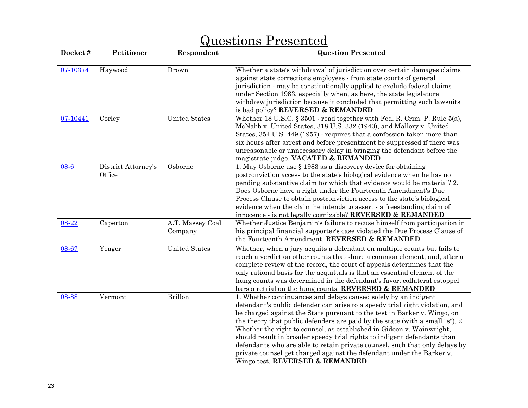| Docket#  | Petitioner                    | Respondent                  | <b>Question Presented</b>                                                                                                                                                                                                                                                                                                                                                                                                                                                                                                                                                                                                                                    |
|----------|-------------------------------|-----------------------------|--------------------------------------------------------------------------------------------------------------------------------------------------------------------------------------------------------------------------------------------------------------------------------------------------------------------------------------------------------------------------------------------------------------------------------------------------------------------------------------------------------------------------------------------------------------------------------------------------------------------------------------------------------------|
| 07-10374 | Haywood                       | Drown                       | Whether a state's withdrawal of jurisdiction over certain damages claims<br>against state corrections employees - from state courts of general<br>jurisdiction - may be constitutionally applied to exclude federal claims<br>under Section 1983, especially when, as here, the state legislature<br>withdrew jurisdiction because it concluded that permitting such lawsuits<br>is bad policy? REVERSED & REMANDED                                                                                                                                                                                                                                          |
| 07-10441 | Corley                        | <b>United States</b>        | Whether 18 U.S.C. § 3501 - read together with Fed. R. Crim. P. Rule 5(a),<br>McNabb v. United States, 318 U.S. 332 (1943), and Mallory v. United<br>States, 354 U.S. 449 (1957) - requires that a confession taken more than<br>six hours after arrest and before presentment be suppressed if there was<br>unreasonable or unnecessary delay in bringing the defendant before the<br>magistrate judge. VACATED & REMANDED                                                                                                                                                                                                                                   |
| 08-6     | District Attorney's<br>Office | Osborne                     | 1. May Osborne use $\S$ 1983 as a discovery device for obtaining<br>postconviction access to the state's biological evidence when he has no<br>pending substantive claim for which that evidence would be material? 2.<br>Does Osborne have a right under the Fourteenth Amendment's Due<br>Process Clause to obtain postconviction access to the state's biological<br>evidence when the claim he intends to assert - a freestanding claim of<br>innocence - is not legally cognizable? REVERSED & REMANDED                                                                                                                                                 |
| 08-22    | Caperton                      | A.T. Massey Coal<br>Company | Whether Justice Benjamin's failure to recuse himself from participation in<br>his principal financial supporter's case violated the Due Process Clause of<br>the Fourteenth Amendment. REVERSED & REMANDED                                                                                                                                                                                                                                                                                                                                                                                                                                                   |
| 08-67    | Yeager                        | <b>United States</b>        | Whether, when a jury acquits a defendant on multiple counts but fails to<br>reach a verdict on other counts that share a common element, and, after a<br>complete review of the record, the court of appeals determines that the<br>only rational basis for the acquittals is that an essential element of the<br>hung counts was determined in the defendant's favor, collateral estoppel<br>bars a retrial on the hung counts. REVERSED & REMANDED                                                                                                                                                                                                         |
| 08-88    | Vermont                       | <b>Brillon</b>              | 1. Whether continuances and delays caused solely by an indigent<br>defendant's public defender can arise to a speedy trial right violation, and<br>be charged against the State pursuant to the test in Barker v. Wingo, on<br>the theory that public defenders are paid by the state (with a small "s"). 2.<br>Whether the right to counsel, as established in Gideon v. Wainwright,<br>should result in broader speedy trial rights to indigent defendants than<br>defendants who are able to retain private counsel, such that only delays by<br>private counsel get charged against the defendant under the Barker v.<br>Wingo test. REVERSED & REMANDED |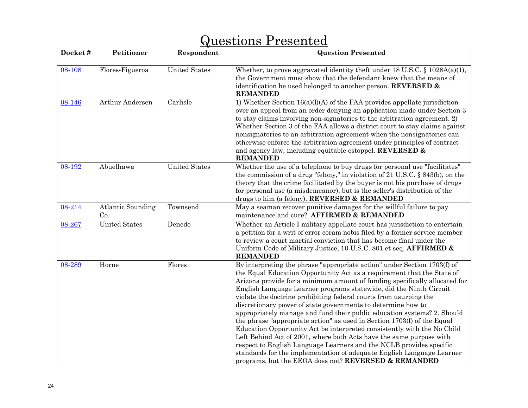| Docket# | Petitioner                      | Respondent           | <b>Question Presented</b>                                                                                                                                                                                                                                                                                                                                                                                                                                                                                                                                                                                                                                                                                                                                                                                                                                                                                                                                   |
|---------|---------------------------------|----------------------|-------------------------------------------------------------------------------------------------------------------------------------------------------------------------------------------------------------------------------------------------------------------------------------------------------------------------------------------------------------------------------------------------------------------------------------------------------------------------------------------------------------------------------------------------------------------------------------------------------------------------------------------------------------------------------------------------------------------------------------------------------------------------------------------------------------------------------------------------------------------------------------------------------------------------------------------------------------|
| 08-108  | Flores-Figueroa                 | <b>United States</b> | Whether, to prove aggravated identity theft under 18 U.S.C. $\S$ 1028A(a)(1),<br>the Government must show that the defendant knew that the means of<br>identification he used belonged to another person. REVERSED &<br><b>REMANDED</b>                                                                                                                                                                                                                                                                                                                                                                                                                                                                                                                                                                                                                                                                                                                     |
| 08-146  | Arthur Andersen                 | Carlisle             | 1) Whether Section $16(a)(l)(A)$ of the FAA provides appellate jurisdiction<br>over an appeal from an order denying an application made under Section 3<br>to stay claims involving non-signatories to the arbitration agreement. 2)<br>Whether Section 3 of the FAA allows a district court to stay claims against<br>nonsignatories to an arbitration agreement when the nonsignatories can<br>otherwise enforce the arbitration agreement under principles of contract<br>and agency law, including equitable estoppel. REVERSED &<br><b>REMANDED</b>                                                                                                                                                                                                                                                                                                                                                                                                    |
| 08-192  | Abuelhawa                       | <b>United States</b> | Whether the use of a telephone to buy drugs for personal use "facilitates"<br>the commission of a drug "felony," in violation of 21 U.S.C. $\S$ 843(b), on the<br>theory that the crime facilitated by the buyer is not his purchase of drugs<br>for personal use (a misdemeanor), but is the seller's distribution of the<br>drugs to him (a felony). REVERSED & REMANDED                                                                                                                                                                                                                                                                                                                                                                                                                                                                                                                                                                                  |
| 08-214  | <b>Atlantic Sounding</b><br>Co. | Townsend             | May a seaman recover punitive damages for the willful failure to pay<br>maintenance and cure? AFFIRMED & REMANDED                                                                                                                                                                                                                                                                                                                                                                                                                                                                                                                                                                                                                                                                                                                                                                                                                                           |
| 08-267  | <b>United States</b>            | Denedo               | Whether an Article I military appellate court has jurisdiction to entertain<br>a petition for a writ of error coram nobis filed by a former service member<br>to review a court martial conviction that has become final under the<br>Uniform Code of Military Justice, 10 U.S.C. 801 et seq. AFFIRMED &<br><b>REMANDED</b>                                                                                                                                                                                                                                                                                                                                                                                                                                                                                                                                                                                                                                 |
| 08-289  | Horne                           | Flores               | By interpreting the phrase "appropriate action" under Section 1703(f) of<br>the Equal Education Opportunity Act as a requirement that the State of<br>Arizona provide for a minimum amount of funding specifically allocated for<br>English Language Learner programs statewide, did the Ninth Circuit<br>violate the doctrine prohibiting federal courts from usurping the<br>discretionary power of state governments to determine how to<br>appropriately manage and fund their public education systems? 2. Should<br>the phrase "appropriate action" as used in Section 1703(f) of the Equal<br>Education Opportunity Act be interpreted consistently with the No Child<br>Left Behind Act of 2001, where both Acts have the same purpose with<br>respect to English Language Learners and the NCLB provides specific<br>standards for the implementation of adequate English Language Learner<br>programs, but the EEOA does not? REVERSED & REMANDED |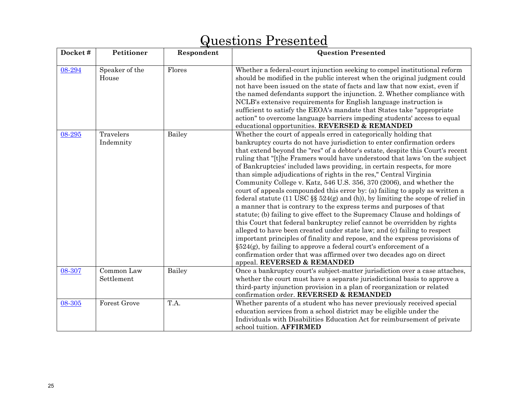#### **Docket # Petitioner Respondent | Respondent | Question Presented | Respondent | Question Presented | Respondent | Respondent | Respondent | Respondent | Respondent | Respondent | Respondent | Respondent | Respondent | Res** [08-294](http://www.supremecourtus.gov/opinions/08pdf/08-289.pdf) Speaker of the House Flores Whether a federal-court injunction seeking to compel institutional reform should be modified in the public interest when the original judgment could not have been issued on the state of facts and law that now exist, even if the named defendants support the injunction. 2. Whether compliance with NCLB's extensive requirements for English language instruction is sufficient to satisfy the EEOA's mandate that States take "appropriate action" to overcome language barriers impeding students' access to equal educational opportunities. **REVERSED & REMANDED** [08-295](http://www.supremecourtus.gov/opinions/08pdf/08-295.pdf) Travelers Indemnity Bailey Whether the court of appeals erred in categorically holding that bankruptcy courts do not have jurisdiction to enter confirmation orders that extend beyond the "res" of a debtor's estate, despite this Court's recent ruling that "[t]he Framers would have understood that laws 'on the subject of Bankruptcies' included laws providing, in certain respects, for more than simple adjudications of rights in the res," Central Virginia Community College v. Katz, 546 U.S. 356, 370 (2006), and whether the court of appeals compounded this error by: (a) failing to apply as written a federal statute (11 USC  $\S$ § 524(g) and (h)), by limiting the scope of relief in a manner that is contrary to the express terms and purposes of that statute; (b) failing to give effect to the Supremacy Clause and holdings of this Court that federal bankruptcy relief cannot be overridden by rights alleged to have been created under state law; and (c) failing to respect important principles of finality and repose, and the express provisions of  $\S524(g)$ , by failing to approve a federal court's enforcement of a confirmation order that was affirmed over two decades ago on direct appeal. **REVERSED & REMANDED** [08-307](http://www.supremecourtus.gov/opinions/08pdf/08-295.pdf) Common Law Settlement Bailey Once a bankruptcy court's subject-matter jurisdiction over a case attaches, whether the court must have a separate jurisdictional basis to approve a third-party injunction provision in a plan of reorganization or related confirmation order. **REVERSED & REMANDED**[08-305](http://www.supremecourtus.gov/opinions/08pdf/08-305.pdf)Forest Grove T.A. Whether parents of a student who has never previously received special education services from a school district may be eligible under the

school tuition. **AFFIRMED**

Individuals with Disabilities Education Act for reimbursement of private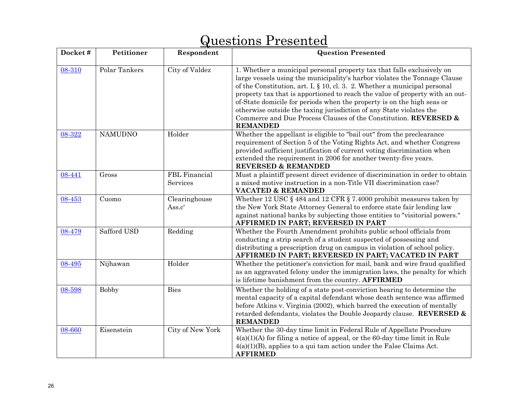#### **Docket # Petitioner Respondent | Respondent | Question Presented | Respondent | Question Presented | Respondent | Respondent | Respondent | Respondent | Respondent | Respondent | Respondent | Respondent | Respondent | Res** [08-310](http://www.supremecourtus.gov/opinions/08pdf/08-310.pdf)Polar Tankers City of Valdez 1. Whether a municipal personal property tax that falls exclusively on large vessels using the municipality's harbor violates the Tonnage Clause of the Constitution, art. I, § 10, cl. 3. 2. Whether a municipal personal property tax that is apportioned to reach the value of property with an outof-State domicile for periods when the property is on the high seas or otherwise outside the taxing jurisdiction of any State violates the Commerce and Due Process Clauses of the Constitution. **REVERSED & REMANDED**[08-322](http://www.supremecourtus.gov/opinions/08pdf/08-322.pdf)NAMUDNO Holder Whether the appellant is eligible to "bail out" from the preclearance requirement of Section 5 of the Voting Rights Act, and whether Congress provided sufficient justification of current voting discrimination when extended the requirement in 2006 for another twenty-five years. **REVERSED & REMANDED** [08-441](http://www.supremecourtus.gov/opinions/08pdf/08-441.pdf)Gross FBL Financial Services Must a plaintiff present direct evidence of discrimination in order to obtain a mixed motive instruction in a non-Title VII discrimination case? **VACATED & REMANDED** [08-453](http://www.supremecourtus.gov/opinions/08pdf/08-453.pdf) Cuomo Clearinghouse Ass.c' Whether 12 USC  $\S$  484 and 12 CFR  $\S$  7.4000 prohibit measures taken by the New York State Attorney General to enforce state fair lending law against national banks by subjecting those entities to "visitorial powers." **AFFIRMED IN PART; REVERSED IN PART** [08-479](http://www.supremecourtus.gov/opinions/08pdf/08-479.pdf)Safford USD Redding Whether the Fourth Amendment prohibits public school officials from conducting a strip search of a student suspected of possessing and distributing a prescription drug on campus in violation of school policy. **AFFIRMED IN PART; REVERSED IN PART; VACATED IN PART** [08-495](http://www.supremecourtus.gov/opinions/08pdf/08-495.pdf)Nijhawan | Holder | Whether the petitioner's conviction for mail, bank and wire fraud qualified as an aggravated felony under the immigration laws, the penalty for which is lifetime banishment from the country. **AFFIRMED**  [08-598](http://www.supremecourtus.gov/opinions/08pdf/08-598.pdf) Bobby Bies Whether the holding of a state post-conviction hearing to determine the mental capacity of a capital defendant whose death sentence was affirmed before Atkins v. Virginia (2002), which barred the execution of mentally retarded defendants, violates the Double Jeopardy clause. **REVERSED & REMANDED**[08-660](http://www.supremecourtus.gov/opinions/08pdf/08-660.pdf) Eisenstein City of New York Whether the 30-day time limit in Federal Rule of Appellate Procedure  $4(a)(1)(A)$  for filing a notice of appeal, or the 60-day time limit in Rule 4(a)(1)(B), applies to a qui tam action under the False Claims Act. **AFFIRMED**